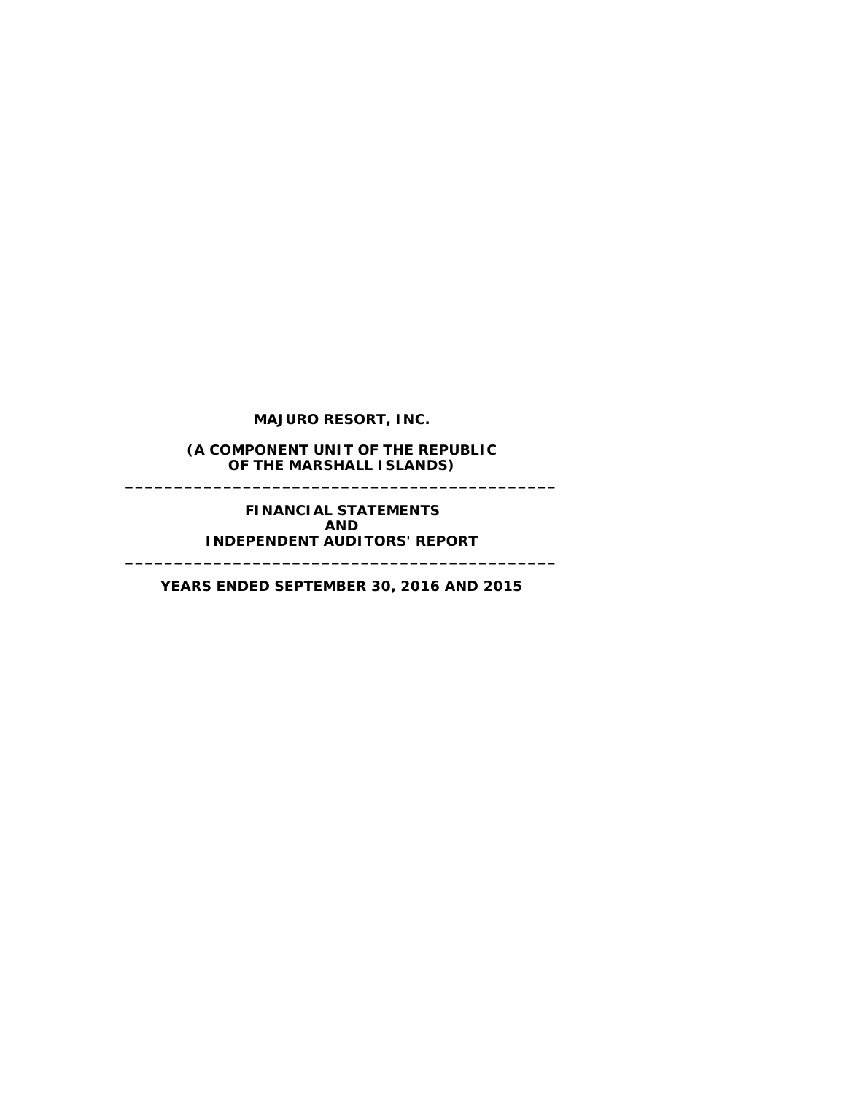**MAJURO RESORT, INC.**

**(A COMPONENT UNIT OF THE REPUBLIC OF THE MARSHALL ISLANDS) \_\_\_\_\_\_\_\_\_\_\_\_\_\_\_\_\_\_\_\_\_\_\_\_\_\_\_\_\_\_\_\_\_\_\_\_\_\_\_\_\_\_\_\_**

> **FINANCIAL STATEMENTS AND INDEPENDENT AUDITORS' REPORT**

**YEARS ENDED SEPTEMBER 30, 2016 AND 2015**

**\_\_\_\_\_\_\_\_\_\_\_\_\_\_\_\_\_\_\_\_\_\_\_\_\_\_\_\_\_\_\_\_\_\_\_\_\_\_\_\_\_\_\_\_**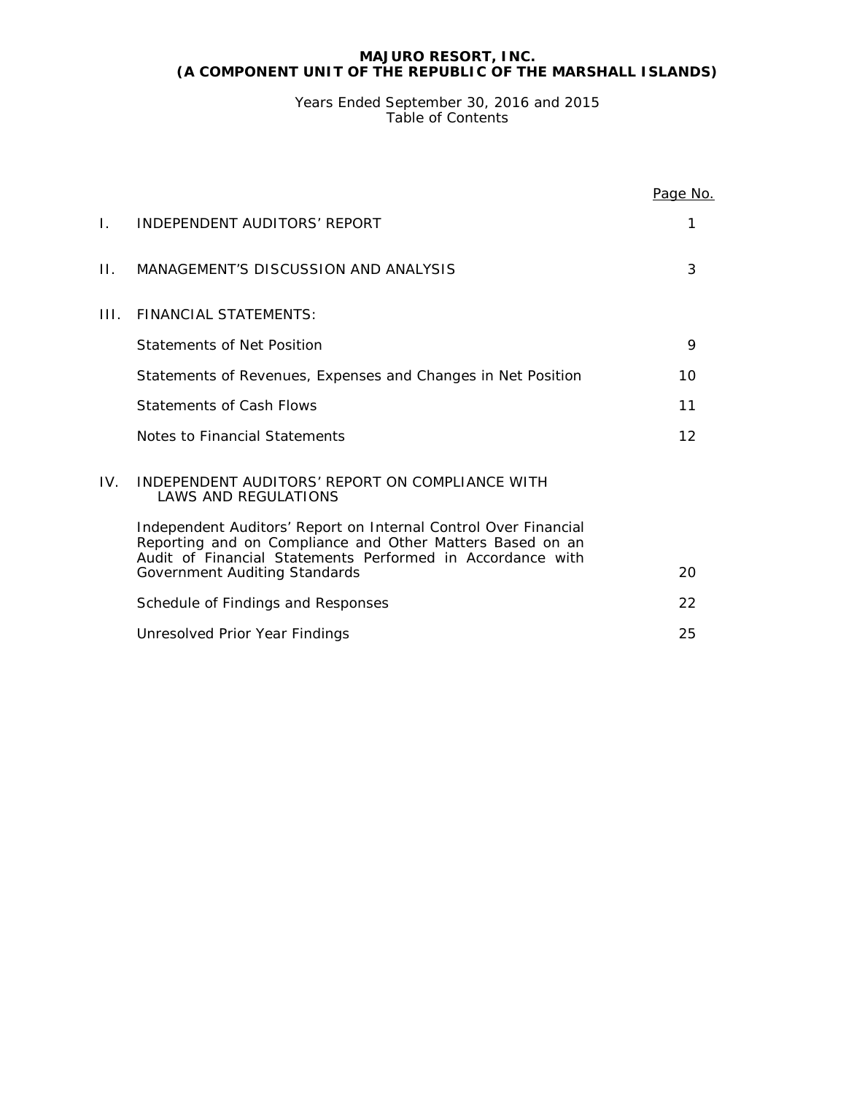Years Ended September 30, 2016 and 2015 Table of Contents

|     |                                                                                                                                                                                            | Page No.        |
|-----|--------------------------------------------------------------------------------------------------------------------------------------------------------------------------------------------|-----------------|
| L.  | INDEPENDENT AUDITORS' REPORT                                                                                                                                                               | 1               |
| П.  | MANAGEMENT'S DISCUSSION AND ANALYSIS                                                                                                                                                       | 3               |
| HL. | FINANCIAL STATFMENTS:                                                                                                                                                                      |                 |
|     | Statements of Net Position                                                                                                                                                                 | 9               |
|     | Statements of Revenues, Expenses and Changes in Net Position                                                                                                                               | 10              |
|     | <b>Statements of Cash Flows</b>                                                                                                                                                            | 11              |
|     | Notes to Financial Statements                                                                                                                                                              | 12 <sup>2</sup> |
| IV. | INDEPENDENT AUDITORS' REPORT ON COMPLIANCE WITH<br><b>LAWS AND REGULATIONS</b>                                                                                                             |                 |
|     | Independent Auditors' Report on Internal Control Over Financial<br>Reporting and on Compliance and Other Matters Based on an<br>Audit of Financial Statements Performed in Accordance with |                 |
|     | Government Auditing Standards                                                                                                                                                              | 20              |
|     | Schedule of Findings and Responses                                                                                                                                                         | 22              |
|     | Unresolved Prior Year Findings                                                                                                                                                             | 25              |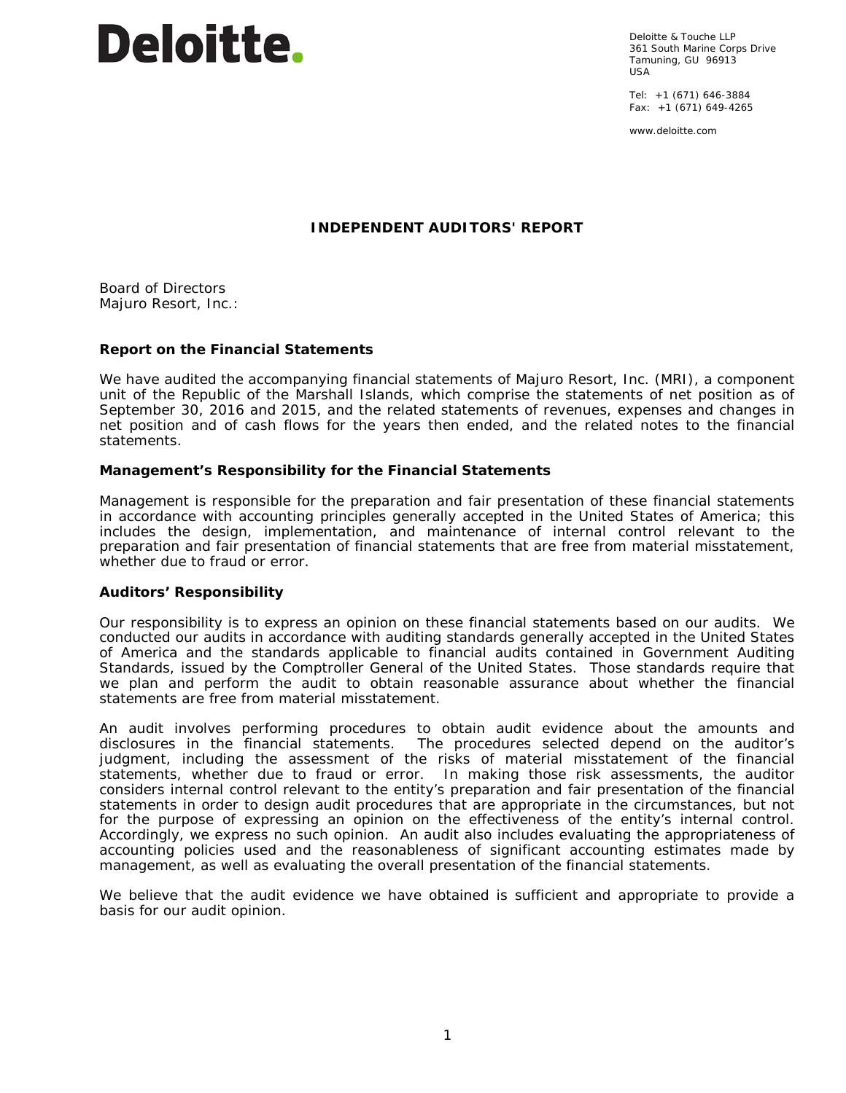

Deloitte & Touche LLP 361 South Marine Corps Drive Tamuning, GU 96913 USA

Tel: +1 (671) 646-3884 Fax: +1 (671) 649-4265

www.deloitte.com

# **INDEPENDENT AUDITORS' REPORT**

Board of Directors Majuro Resort, Inc.:

# **Report on the Financial Statements**

We have audited the accompanying financial statements of Majuro Resort, Inc. (MRI), a component unit of the Republic of the Marshall Islands, which comprise the statements of net position as of September 30, 2016 and 2015, and the related statements of revenues, expenses and changes in net position and of cash flows for the years then ended, and the related notes to the financial statements.

#### *Management's Responsibility for the Financial Statements*

Management is responsible for the preparation and fair presentation of these financial statements in accordance with accounting principles generally accepted in the United States of America; this includes the design, implementation, and maintenance of internal control relevant to the preparation and fair presentation of financial statements that are free from material misstatement, whether due to fraud or error.

# *Auditors' Responsibility*

Our responsibility is to express an opinion on these financial statements based on our audits. We conducted our audits in accordance with auditing standards generally accepted in the United States of America and the standards applicable to financial audits contained in *Government Auditing Standards*, issued by the Comptroller General of the United States. Those standards require that we plan and perform the audit to obtain reasonable assurance about whether the financial statements are free from material misstatement.

An audit involves performing procedures to obtain audit evidence about the amounts and disclosures in the financial statements. The procedures selected depend on the auditor's judgment, including the assessment of the risks of material misstatement of the financial statements, whether due to fraud or error. In making those risk assessments, the auditor considers internal control relevant to the entity's preparation and fair presentation of the financial statements in order to design audit procedures that are appropriate in the circumstances, but not for the purpose of expressing an opinion on the effectiveness of the entity's internal control. Accordingly, we express no such opinion. An audit also includes evaluating the appropriateness of accounting policies used and the reasonableness of significant accounting estimates made by management, as well as evaluating the overall presentation of the financial statements.

We believe that the audit evidence we have obtained is sufficient and appropriate to provide a basis for our audit opinion.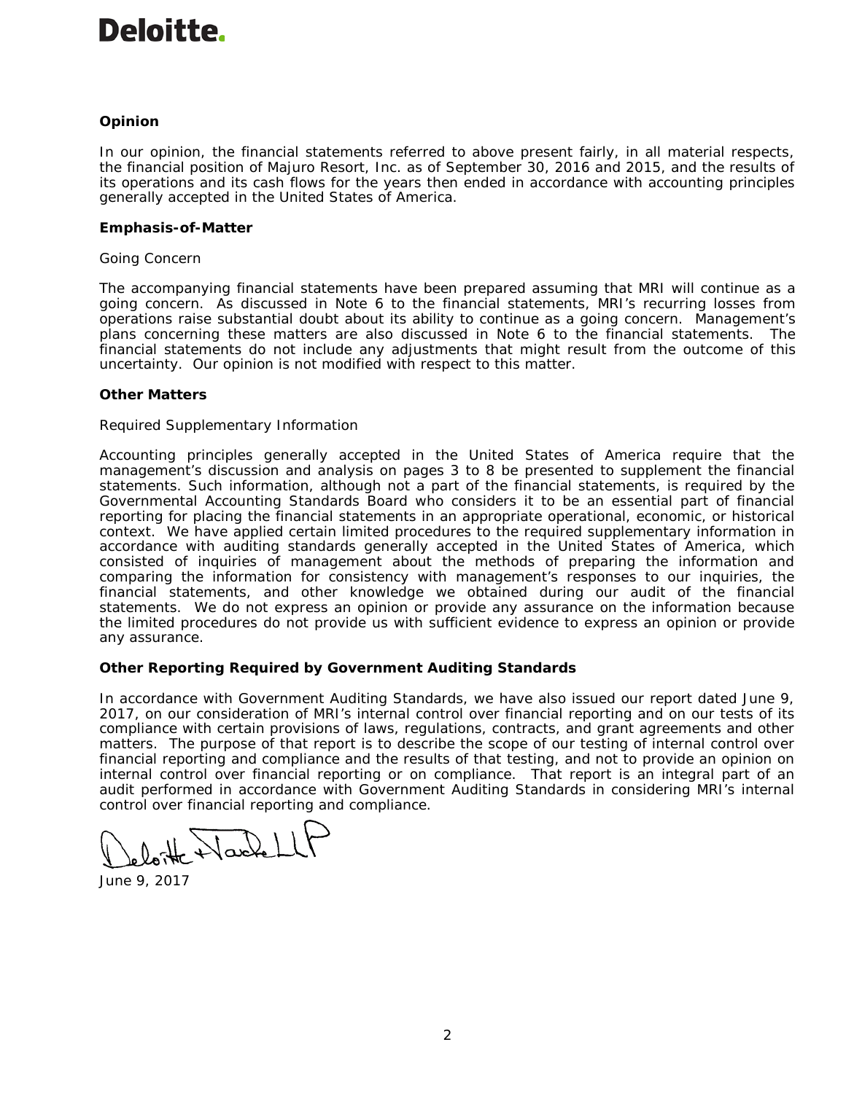# Deloitte.

# *Opinion*

In our opinion, the financial statements referred to above present fairly, in all material respects, the financial position of Majuro Resort, Inc. as of September 30, 2016 and 2015, and the results of its operations and its cash flows for the years then ended in accordance with accounting principles generally accepted in the United States of America.

# *Emphasis-of-Matter*

# *Going Concern*

The accompanying financial statements have been prepared assuming that MRI will continue as a going concern. As discussed in Note 6 to the financial statements, MRI's recurring losses from operations raise substantial doubt about its ability to continue as a going concern. Management's plans concerning these matters are also discussed in Note 6 to the financial statements. The financial statements do not include any adjustments that might result from the outcome of this uncertainty. Our opinion is not modified with respect to this matter.

# *Other Matters*

# *Required Supplementary Information*

Accounting principles generally accepted in the United States of America require that the management's discussion and analysis on pages 3 to 8 be presented to supplement the financial statements. Such information, although not a part of the financial statements, is required by the Governmental Accounting Standards Board who considers it to be an essential part of financial reporting for placing the financial statements in an appropriate operational, economic, or historical context. We have applied certain limited procedures to the required supplementary information in accordance with auditing standards generally accepted in the United States of America, which consisted of inquiries of management about the methods of preparing the information and comparing the information for consistency with management's responses to our inquiries, the financial statements, and other knowledge we obtained during our audit of the financial statements. We do not express an opinion or provide any assurance on the information because the limited procedures do not provide us with sufficient evidence to express an opinion or provide any assurance.

# **Other Reporting Required by** *Government Auditing Standards*

In accordance with *Government Auditing Standards*, we have also issued our report dated June 9, 2017, on our consideration of MRI's internal control over financial reporting and on our tests of its compliance with certain provisions of laws, regulations, contracts, and grant agreements and other matters. The purpose of that report is to describe the scope of our testing of internal control over financial reporting and compliance and the results of that testing, and not to provide an opinion on internal control over financial reporting or on compliance. That report is an integral part of an audit performed in accordance with *Government Auditing Standards* in considering MRI's internal control over financial reporting and compliance.

Varkel

June 9, 2017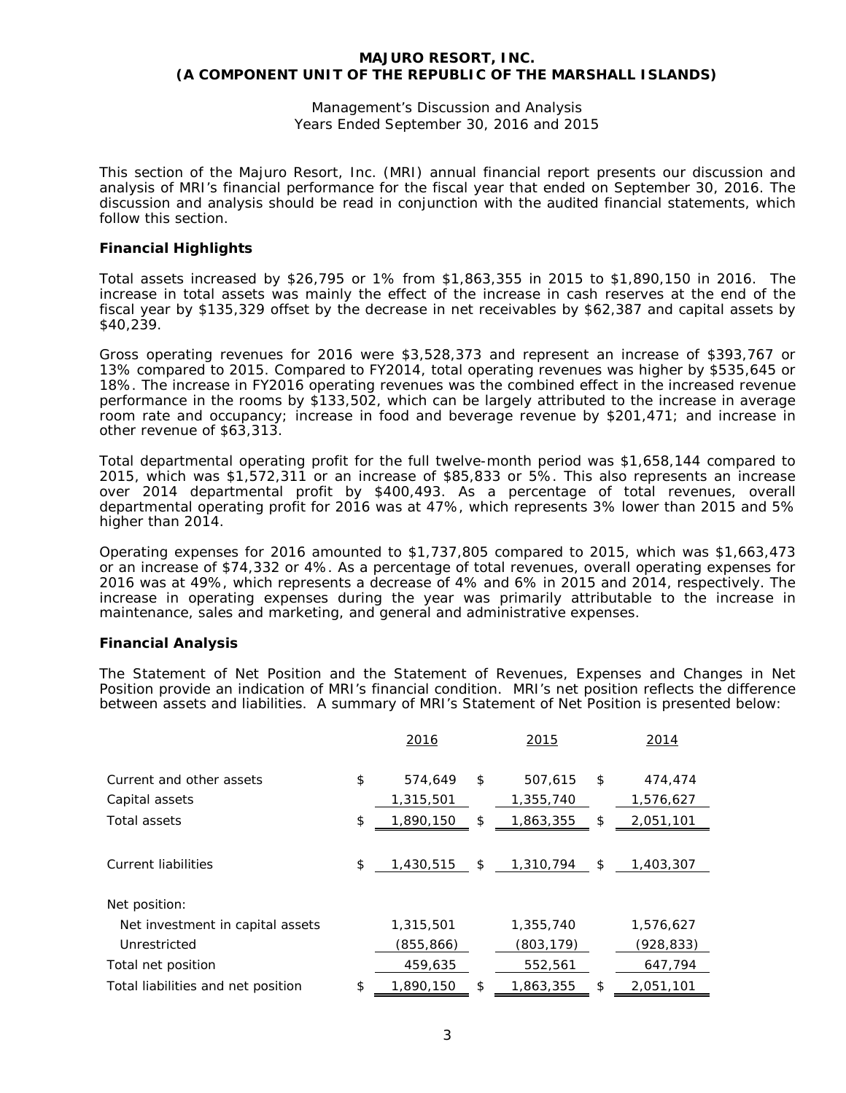Management's Discussion and Analysis Years Ended September 30, 2016 and 2015

This section of the Majuro Resort, Inc. (MRI) annual financial report presents our discussion and analysis of MRI's financial performance for the fiscal year that ended on September 30, 2016. The discussion and analysis should be read in conjunction with the audited financial statements, which follow this section.

# **Financial Highlights**

Total assets increased by \$26,795 or 1% from \$1,863,355 in 2015 to \$1,890,150 in 2016. The increase in total assets was mainly the effect of the increase in cash reserves at the end of the fiscal year by \$135,329 offset by the decrease in net receivables by \$62,387 and capital assets by \$40,239.

Gross operating revenues for 2016 were \$3,528,373 and represent an increase of \$393,767 or 13% compared to 2015. Compared to FY2014, total operating revenues was higher by \$535,645 or 18%. The increase in FY2016 operating revenues was the combined effect in the increased revenue performance in the rooms by \$133,502, which can be largely attributed to the increase in average room rate and occupancy; increase in food and beverage revenue by \$201,471; and increase in other revenue of \$63,313.

Total departmental operating profit for the full twelve-month period was \$1,658,144 compared to 2015, which was \$1,572,311 or an increase of \$85,833 or 5%. This also represents an increase over 2014 departmental profit by \$400,493. As a percentage of total revenues, overall departmental operating profit for 2016 was at 47%, which represents 3% lower than 2015 and 5% higher than 2014.

Operating expenses for 2016 amounted to \$1,737,805 compared to 2015, which was \$1,663,473 or an increase of \$74,332 or 4%. As a percentage of total revenues, overall operating expenses for 2016 was at 49%, which represents a decrease of 4% and 6% in 2015 and 2014, respectively. The increase in operating expenses during the year was primarily attributable to the increase in maintenance, sales and marketing, and general and administrative expenses.

# **Financial Analysis**

The Statement of Net Position and the Statement of Revenues, Expenses and Changes in Net Position provide an indication of MRI's financial condition. MRI's net position reflects the difference between assets and liabilities. A summary of MRI's Statement of Net Position is presented below:

|                                    | 2016            | 2015            | 2014            |
|------------------------------------|-----------------|-----------------|-----------------|
| Current and other assets           | \$<br>574,649   | \$<br>507,615   | \$<br>474,474   |
| Capital assets                     | 1,315,501       | 1,355,740       | 1,576,627       |
| Total assets                       | \$<br>1,890,150 | \$<br>1,863,355 | \$<br>2,051,101 |
|                                    |                 |                 |                 |
| Current liabilities                | \$<br>1,430,515 | \$<br>1,310,794 | \$<br>1,403,307 |
|                                    |                 |                 |                 |
| Net position:                      |                 |                 |                 |
| Net investment in capital assets   | 1,315,501       | 1,355,740       | 1,576,627       |
| Unrestricted                       | (855,866)       | (803,179)       | (928,833)       |
| Total net position                 | 459,635         | 552,561         | 647,794         |
| Total liabilities and net position | \$<br>1,890,150 | \$<br>1,863,355 | \$<br>2,051,101 |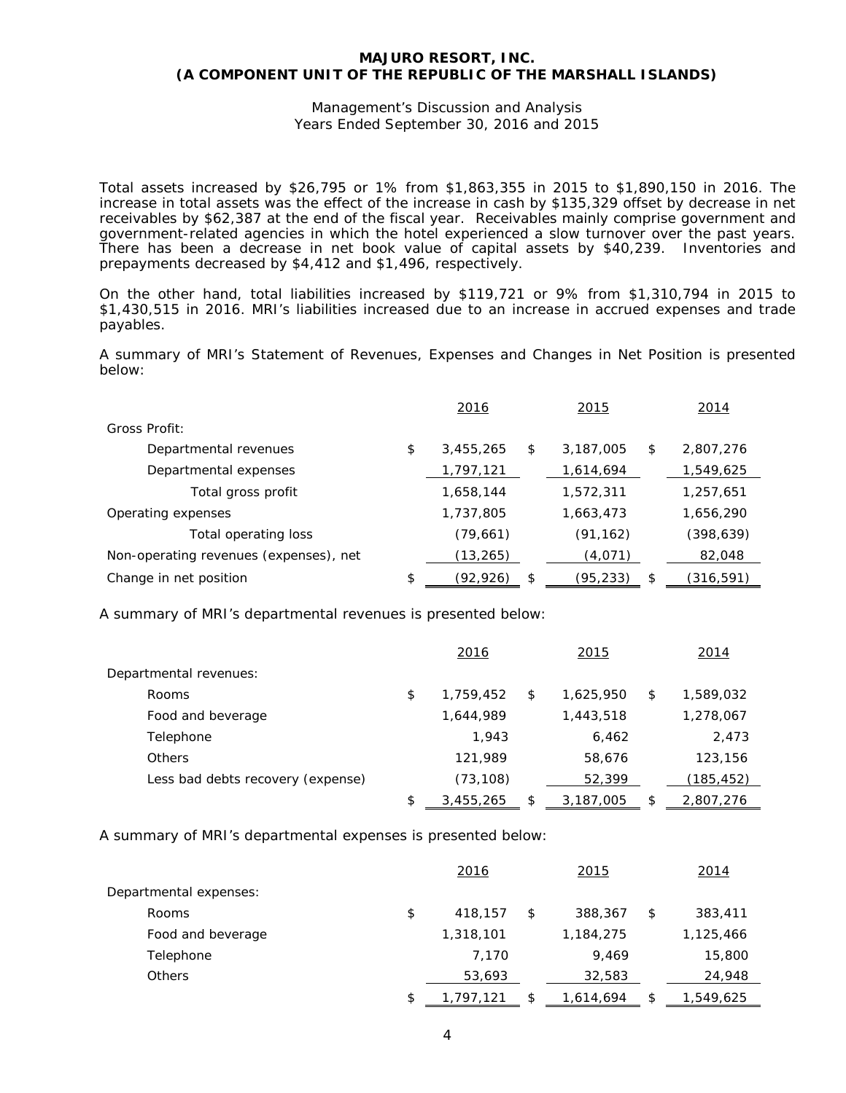# Management's Discussion and Analysis Years Ended September 30, 2016 and 2015

Total assets increased by \$26,795 or 1% from \$1,863,355 in 2015 to \$1,890,150 in 2016. The increase in total assets was the effect of the increase in cash by \$135,329 offset by decrease in net receivables by \$62,387 at the end of the fiscal year. Receivables mainly comprise government and government-related agencies in which the hotel experienced a slow turnover over the past years. There has been a decrease in net book value of capital assets by \$40,239. Inventories and prepayments decreased by \$4,412 and \$1,496, respectively.

On the other hand, total liabilities increased by \$119,721 or 9% from \$1,310,794 in 2015 to \$1,430,515 in 2016. MRI's liabilities increased due to an increase in accrued expenses and trade payables.

A summary of MRI's Statement of Revenues, Expenses and Changes in Net Position is presented below:

|                                        | 2016            | 2015            | 2014            |
|----------------------------------------|-----------------|-----------------|-----------------|
| Gross Profit:                          |                 |                 |                 |
| Departmental revenues                  | \$<br>3,455,265 | \$<br>3,187,005 | \$<br>2,807,276 |
| Departmental expenses                  | 1,797,121       | 1,614,694       | 1,549,625       |
| Total gross profit                     | 1,658,144       | 1,572,311       | 1,257,651       |
| Operating expenses                     | 1,737,805       | 1,663,473       | 1,656,290       |
| Total operating loss                   | (79,661)        | (91, 162)       | (398,639)       |
| Non-operating revenues (expenses), net | (13,265)        | (4,071)         | 82,048          |
| Change in net position                 | \$<br>(92,926)  | \$<br>(95,233)  | \$<br>(316,591) |

A summary of MRI's departmental revenues is presented below:

|                                   | 2016<br>2015    |    | 2014      |                 |
|-----------------------------------|-----------------|----|-----------|-----------------|
| Departmental revenues:            |                 |    |           |                 |
| <b>Rooms</b>                      | \$<br>1,759,452 | \$ | 1,625,950 | \$<br>1,589,032 |
| Food and beverage                 | 1,644,989       |    | 1,443,518 | 1,278,067       |
| Telephone                         | 1,943           |    | 6,462     | 2,473           |
| <b>Others</b>                     | 121.989         |    | 58,676    | 123,156         |
| Less bad debts recovery (expense) | (73, 108)       |    | 52,399    | (185,452)       |
|                                   | \$<br>3,455,265 | \$ | 3,187,005 | \$<br>2,807,276 |

A summary of MRI's departmental expenses is presented below:

|                        | 2016            | 2015            | 2014            |
|------------------------|-----------------|-----------------|-----------------|
| Departmental expenses: |                 |                 |                 |
| Rooms                  | \$<br>418.157   | \$<br>388,367   | \$<br>383,411   |
| Food and beverage      | 1,318,101       | 1,184,275       | 1,125,466       |
| Telephone              | 7.170           | 9.469           | 15,800          |
| <b>Others</b>          | 53,693          | 32,583          | 24,948          |
|                        | \$<br>1,797,121 | \$<br>1,614,694 | \$<br>1,549,625 |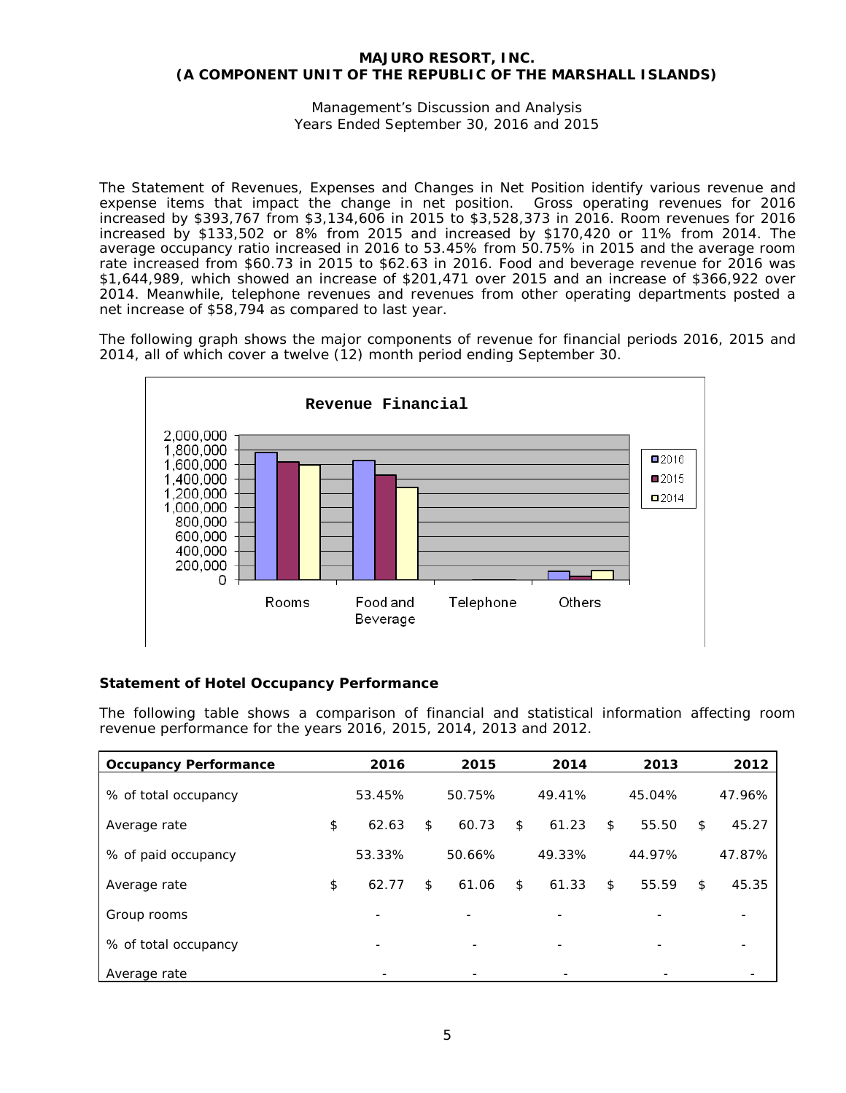Management's Discussion and Analysis Years Ended September 30, 2016 and 2015

The Statement of Revenues, Expenses and Changes in Net Position identify various revenue and expense items that impact the change in net position. Gross operating revenues for 2016 increased by \$393,767 from \$3,134,606 in 2015 to \$3,528,373 in 2016. Room revenues for 2016 increased by \$133,502 or 8% from 2015 and increased by \$170,420 or 11% from 2014. The average occupancy ratio increased in 2016 to 53.45% from 50.75% in 2015 and the average room rate increased from \$60.73 in 2015 to \$62.63 in 2016. Food and beverage revenue for 2016 was \$1,644,989, which showed an increase of \$201,471 over 2015 and an increase of \$366,922 over 2014. Meanwhile, telephone revenues and revenues from other operating departments posted a net increase of \$58,794 as compared to last year.

The following graph shows the major components of revenue for financial periods 2016, 2015 and 2014, all of which cover a twelve (12) month period ending September 30.



# **Statement of Hotel Occupancy Performance**

The following table shows a comparison of financial and statistical information affecting room revenue performance for the years 2016, 2015, 2014, 2013 and 2012.

| <b>Occupancy Performance</b> | 2016                     | 2015        | 2014        | 2013        | 2012        |
|------------------------------|--------------------------|-------------|-------------|-------------|-------------|
| % of total occupancy         | 53.45%                   | 50.75%      | 49.41%      | 45.04%      | 47.96%      |
| Average rate                 | \$<br>62.63              | \$<br>60.73 | \$<br>61.23 | \$<br>55.50 | \$<br>45.27 |
| % of paid occupancy          | 53.33%                   | 50.66%      | 49.33%      | 44.97%      | 47.87%      |
| Average rate                 | \$<br>62.77              | \$<br>61.06 | \$<br>61.33 | \$<br>55.59 | \$<br>45.35 |
| Group rooms                  |                          |             |             |             |             |
| % of total occupancy         | $\overline{\phantom{0}}$ | -           |             |             |             |
| Average rate                 |                          |             |             |             |             |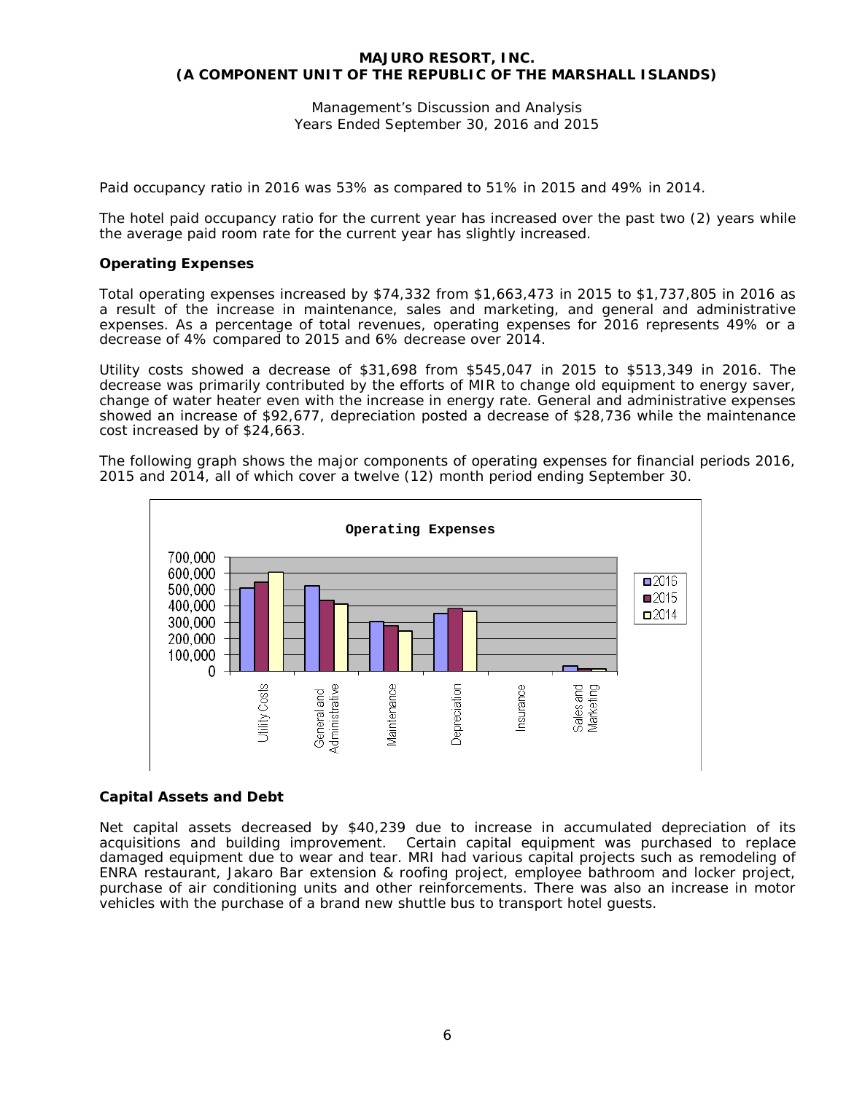Management's Discussion and Analysis Years Ended September 30, 2016 and 2015

Paid occupancy ratio in 2016 was 53% as compared to 51% in 2015 and 49% in 2014.

The hotel paid occupancy ratio for the current year has increased over the past two (2) years while the average paid room rate for the current year has slightly increased.

# **Operating Expenses**

Total operating expenses increased by \$74,332 from \$1,663,473 in 2015 to \$1,737,805 in 2016 as a result of the increase in maintenance, sales and marketing, and general and administrative expenses. As a percentage of total revenues, operating expenses for 2016 represents 49% or a decrease of 4% compared to 2015 and 6% decrease over 2014.

Utility costs showed a decrease of \$31,698 from \$545,047 in 2015 to \$513,349 in 2016. The decrease was primarily contributed by the efforts of MIR to change old equipment to energy saver, change of water heater even with the increase in energy rate. General and administrative expenses showed an increase of \$92,677, depreciation posted a decrease of \$28,736 while the maintenance cost increased by of \$24,663.

The following graph shows the major components of operating expenses for financial periods 2016, 2015 and 2014, all of which cover a twelve (12) month period ending September 30.



# **Capital Assets and Debt**

Net capital assets decreased by \$40,239 due to increase in accumulated depreciation of its acquisitions and building improvement. Certain capital equipment was purchased to replace damaged equipment due to wear and tear. MRI had various capital projects such as remodeling of ENRA restaurant, Jakaro Bar extension & roofing project, employee bathroom and locker project, purchase of air conditioning units and other reinforcements. There was also an increase in motor vehicles with the purchase of a brand new shuttle bus to transport hotel guests.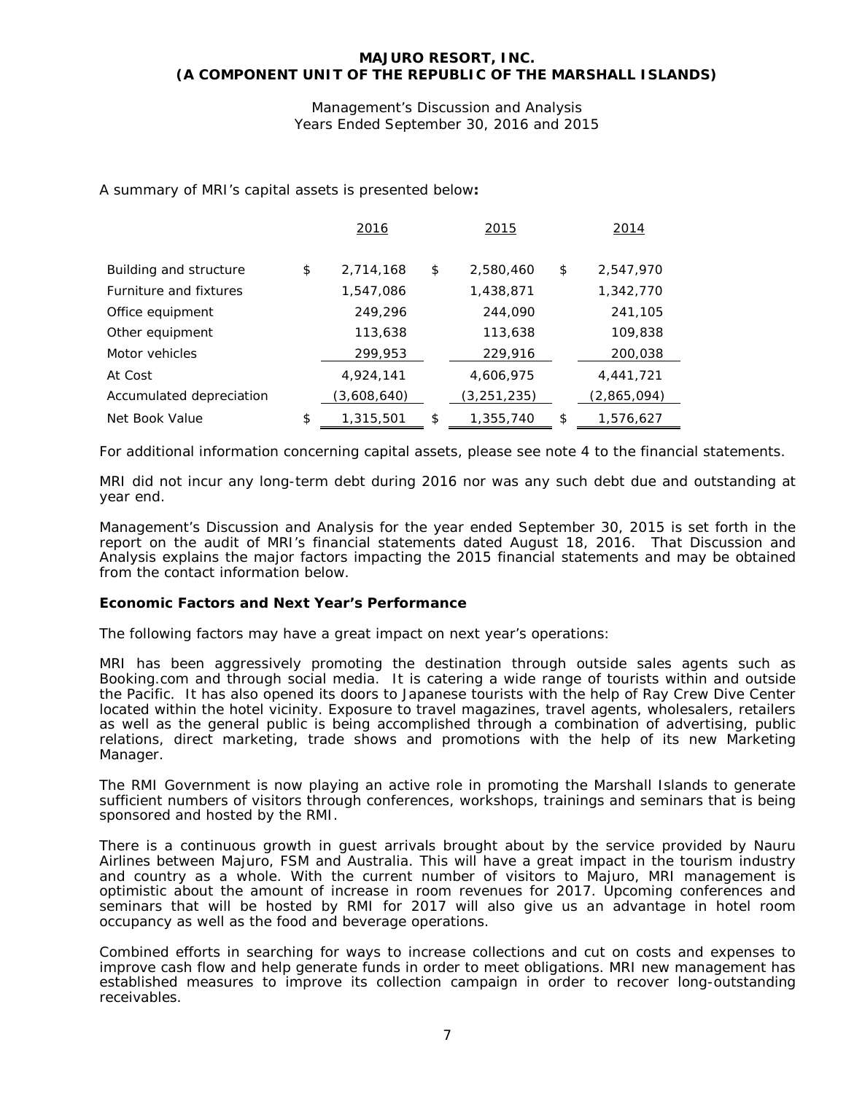Management's Discussion and Analysis Years Ended September 30, 2016 and 2015

A summary of MRI's capital assets is presented below**:**

|                          | 2016            | 2015            | 2014            |  |
|--------------------------|-----------------|-----------------|-----------------|--|
| Building and structure   | \$<br>2,714,168 | \$<br>2,580,460 | \$<br>2,547,970 |  |
| Furniture and fixtures   | 1,547,086       | 1,438,871       | 1,342,770       |  |
| Office equipment         | 249,296         | 244,090         | 241,105         |  |
| Other equipment          | 113,638         | 113,638         | 109,838         |  |
| Motor vehicles           | 299,953         | 229,916         | 200,038         |  |
| At Cost                  | 4,924,141       | 4,606,975       | 4,441,721       |  |
| Accumulated depreciation | (3,608,640)     | (3,251,235)     | (2,865,094)     |  |
| Net Book Value           | \$<br>1,315,501 | \$<br>1,355,740 | \$<br>1,576,627 |  |

For additional information concerning capital assets, please see note 4 to the financial statements.

MRI did not incur any long-term debt during 2016 nor was any such debt due and outstanding at year end.

Management's Discussion and Analysis for the year ended September 30, 2015 is set forth in the report on the audit of MRI's financial statements dated August 18, 2016. That Discussion and Analysis explains the major factors impacting the 2015 financial statements and may be obtained from the contact information below.

# **Economic Factors and Next Year's Performance**

The following factors may have a great impact on next year's operations:

MRI has been aggressively promoting the destination through outside sales agents such as Booking.com and through social media. It is catering a wide range of tourists within and outside the Pacific. It has also opened its doors to Japanese tourists with the help of Ray Crew Dive Center located within the hotel vicinity. Exposure to travel magazines, travel agents, wholesalers, retailers as well as the general public is being accomplished through a combination of advertising, public relations, direct marketing, trade shows and promotions with the help of its new Marketing Manager.

The RMI Government is now playing an active role in promoting the Marshall Islands to generate sufficient numbers of visitors through conferences, workshops, trainings and seminars that is being sponsored and hosted by the RMI.

There is a continuous growth in guest arrivals brought about by the service provided by Nauru Airlines between Majuro, FSM and Australia. This will have a great impact in the tourism industry and country as a whole. With the current number of visitors to Majuro, MRI management is optimistic about the amount of increase in room revenues for 2017. Upcoming conferences and seminars that will be hosted by RMI for 2017 will also give us an advantage in hotel room occupancy as well as the food and beverage operations.

Combined efforts in searching for ways to increase collections and cut on costs and expenses to improve cash flow and help generate funds in order to meet obligations. MRI new management has established measures to improve its collection campaign in order to recover long-outstanding receivables.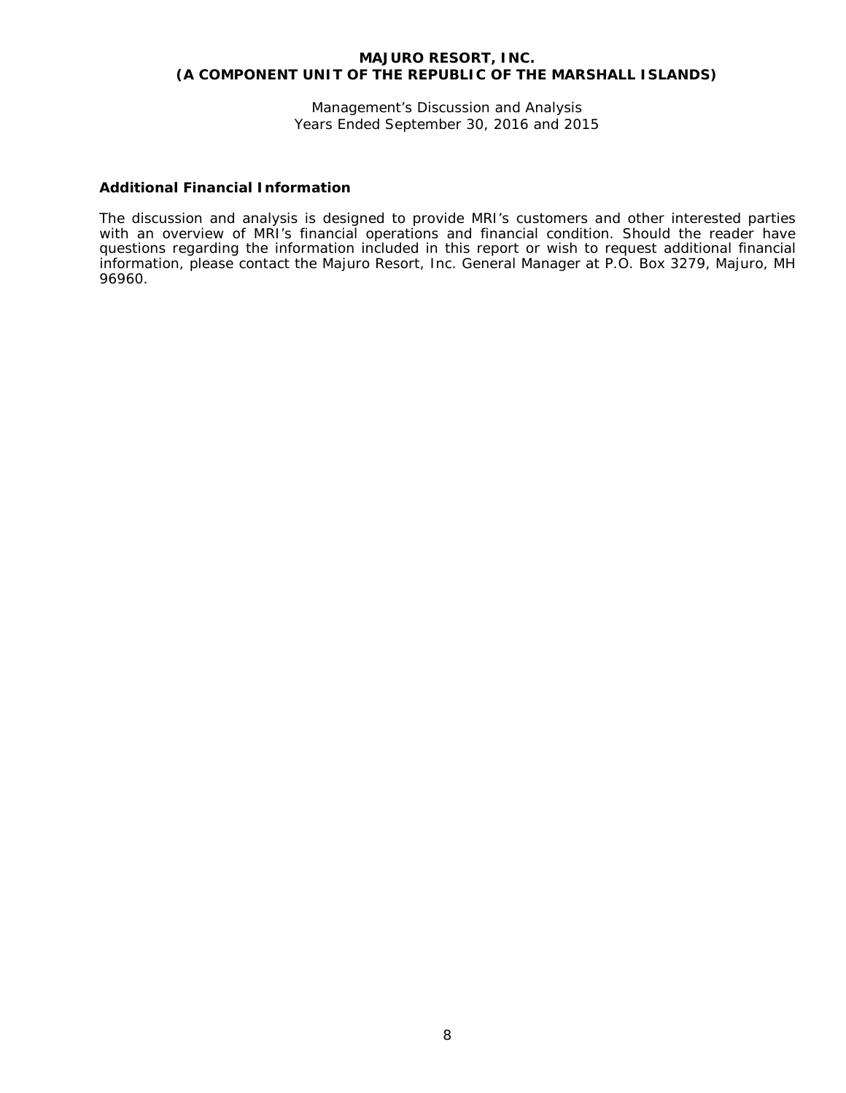Management's Discussion and Analysis Years Ended September 30, 2016 and 2015

# **Additional Financial Information**

The discussion and analysis is designed to provide MRI's customers and other interested parties with an overview of MRI's financial operations and financial condition. Should the reader have questions regarding the information included in this report or wish to request additional financial information, please contact the Majuro Resort, Inc. General Manager at P.O. Box 3279, Majuro, MH 96960.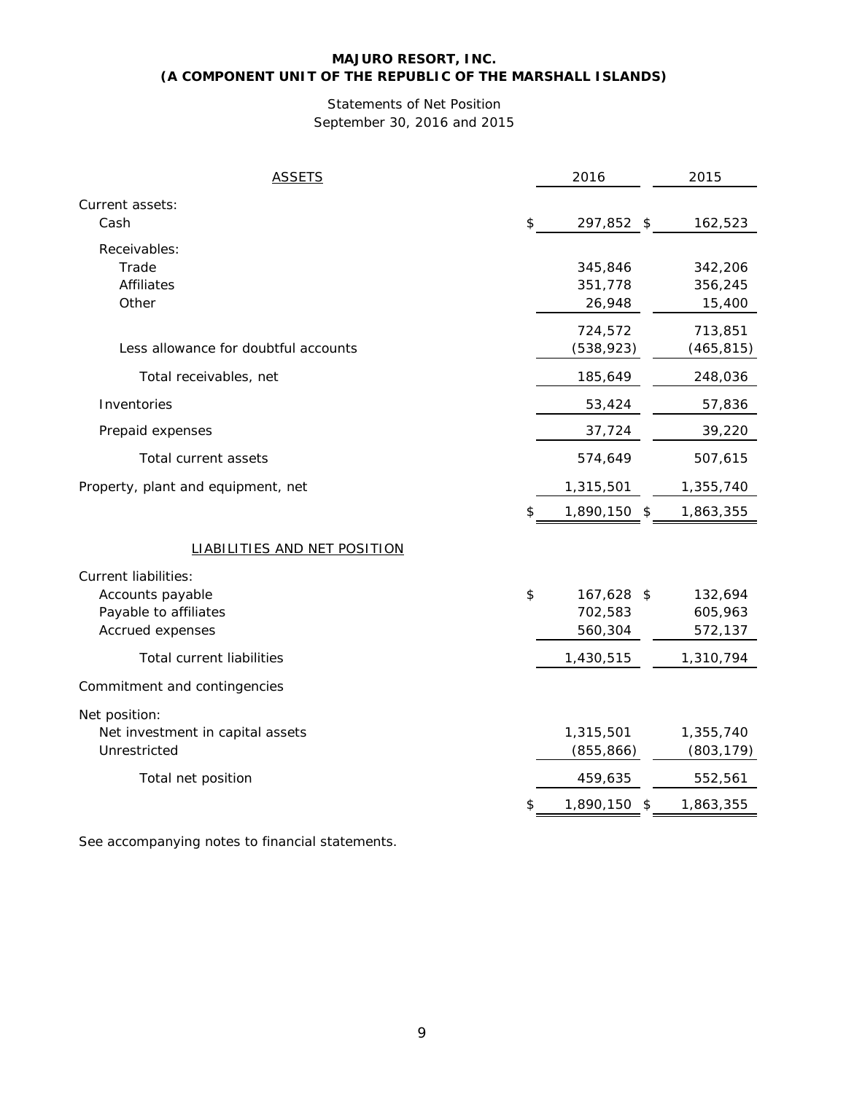# Statements of Net Position September 30, 2016 and 2015

| <b>ASSETS</b>                                                                                | 2016                                   | 2015                          |
|----------------------------------------------------------------------------------------------|----------------------------------------|-------------------------------|
| Current assets:<br>Cash                                                                      | \$<br>297,852 \$                       | 162,523                       |
| Receivables:<br>Trade<br><b>Affiliates</b><br>Other                                          | 345,846<br>351,778<br>26,948           | 342,206<br>356,245<br>15,400  |
| Less allowance for doubtful accounts                                                         | 724,572<br>(538, 923)                  | 713,851<br>(465, 815)         |
| Total receivables, net                                                                       | 185,649                                | 248,036                       |
| Inventories                                                                                  | 53,424                                 | 57,836                        |
| Prepaid expenses                                                                             | 37,724                                 | 39,220                        |
| Total current assets                                                                         | 574,649                                | 507,615                       |
| Property, plant and equipment, net                                                           | 1,315,501                              | 1,355,740                     |
|                                                                                              | \$<br>1,890,150 \$                     | 1,863,355                     |
| <b>LIABILITIES AND NET POSITION</b>                                                          |                                        |                               |
| <b>Current liabilities:</b><br>Accounts payable<br>Payable to affiliates<br>Accrued expenses | \$<br>167,628 \$<br>702,583<br>560,304 | 132,694<br>605,963<br>572,137 |
| <b>Total current liabilities</b>                                                             | 1,430,515                              | 1,310,794                     |
| Commitment and contingencies                                                                 |                                        |                               |
| Net position:<br>Net investment in capital assets<br>Unrestricted                            | 1,315,501<br>(855, 866)                | 1,355,740<br>(803, 179)       |
| Total net position                                                                           | 459,635                                | 552,561                       |
|                                                                                              | \$<br>1,890,150 \$                     | 1,863,355                     |

See accompanying notes to financial statements.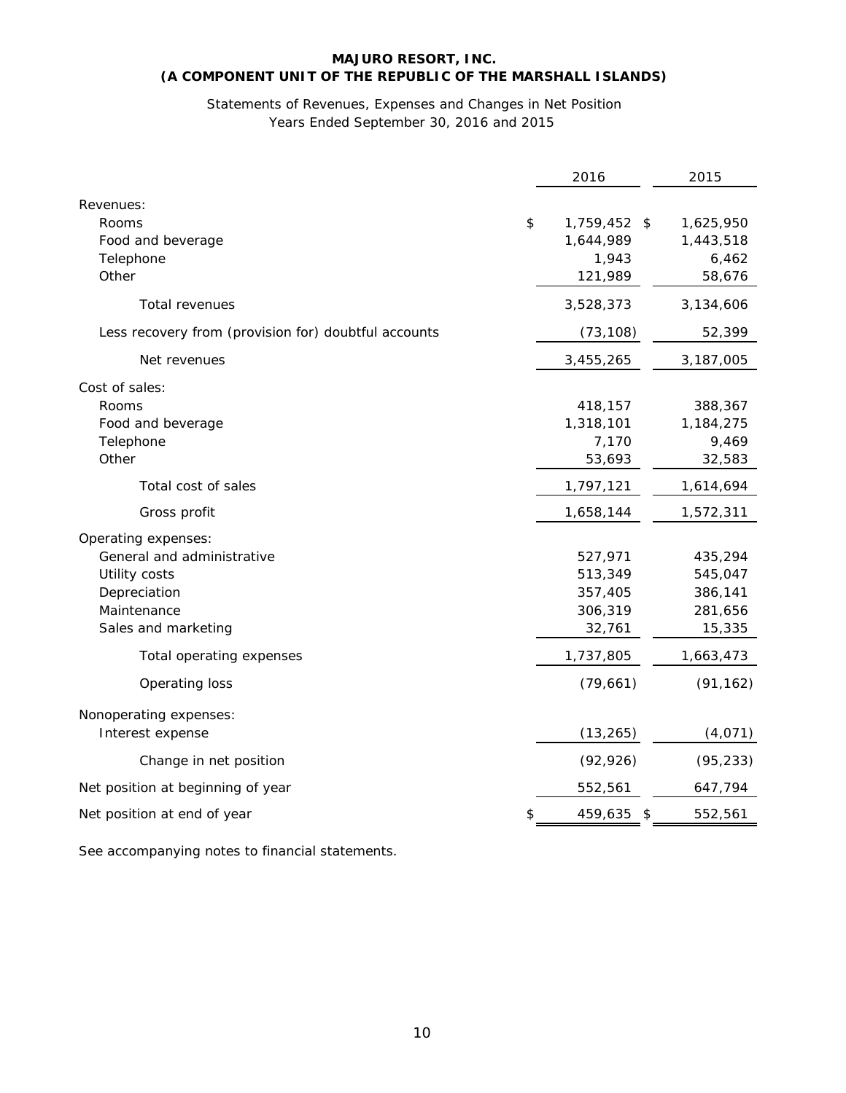# Statements of Revenues, Expenses and Changes in Net Position Years Ended September 30, 2016 and 2015

|                                                      | 2016               | 2015      |
|------------------------------------------------------|--------------------|-----------|
| Revenues:                                            |                    |           |
| Rooms                                                | \$<br>1,759,452 \$ | 1,625,950 |
| Food and beverage                                    | 1,644,989          | 1,443,518 |
| Telephone                                            | 1,943              | 6,462     |
| Other                                                | 121,989            | 58,676    |
| Total revenues                                       | 3,528,373          | 3,134,606 |
| Less recovery from (provision for) doubtful accounts | (73, 108)          | 52,399    |
| Net revenues                                         | 3,455,265          | 3,187,005 |
| Cost of sales:                                       |                    |           |
| Rooms                                                | 418,157            | 388,367   |
| Food and beverage                                    | 1,318,101          | 1,184,275 |
| Telephone                                            | 7,170              | 9,469     |
| Other                                                | 53,693             | 32,583    |
| Total cost of sales                                  | 1,797,121          | 1,614,694 |
| Gross profit                                         | 1,658,144          | 1,572,311 |
| Operating expenses:                                  |                    |           |
| General and administrative                           | 527,971            | 435,294   |
| Utility costs                                        | 513,349            | 545,047   |
| Depreciation                                         | 357,405            | 386,141   |
| Maintenance                                          | 306,319            | 281,656   |
| Sales and marketing                                  | 32,761             | 15,335    |
| Total operating expenses                             | 1,737,805          | 1,663,473 |
| Operating loss                                       | (79, 661)          | (91, 162) |
| Nonoperating expenses:                               |                    |           |
| Interest expense                                     | (13, 265)          | (4,071)   |
| Change in net position                               | (92, 926)          | (95, 233) |
| Net position at beginning of year                    | 552,561            | 647,794   |
| Net position at end of year                          | 459,635            | 552,561   |
|                                                      |                    |           |

See accompanying notes to financial statements.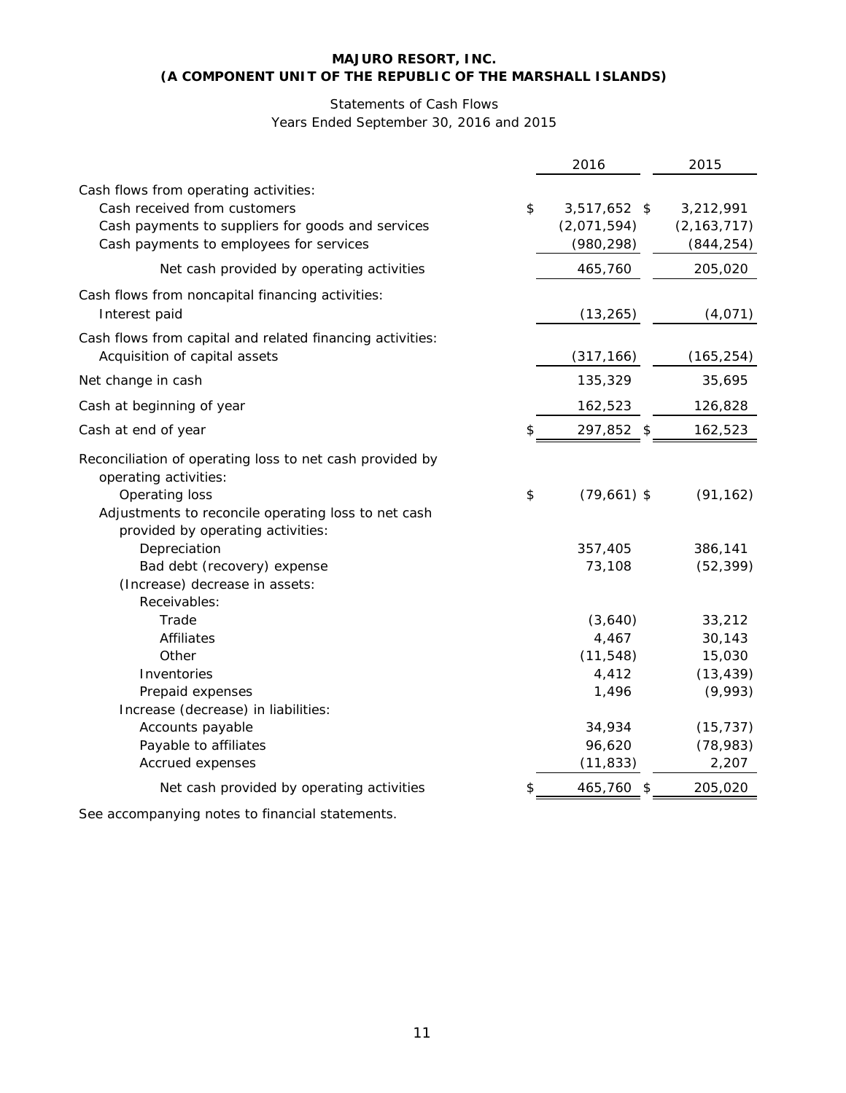# Statements of Cash Flows Years Ended September 30, 2016 and 2015

|                                                                                                                                                                       |                           | 2016                                            | 2015                                               |
|-----------------------------------------------------------------------------------------------------------------------------------------------------------------------|---------------------------|-------------------------------------------------|----------------------------------------------------|
| Cash flows from operating activities:<br>Cash received from customers<br>Cash payments to suppliers for goods and services<br>Cash payments to employees for services | $\boldsymbol{\mathsf{S}}$ | 3,517,652 \$<br>(2,071,594)<br>(980, 298)       | 3,212,991<br>(2, 163, 717)<br>(844, 254)           |
| Net cash provided by operating activities                                                                                                                             |                           | 465,760                                         | 205,020                                            |
| Cash flows from noncapital financing activities:<br>Interest paid                                                                                                     |                           | (13, 265)                                       | (4,071)                                            |
| Cash flows from capital and related financing activities:<br>Acquisition of capital assets                                                                            |                           | (317, 166)                                      | (165, 254)                                         |
| Net change in cash                                                                                                                                                    |                           | 135,329                                         | 35,695                                             |
| Cash at beginning of year                                                                                                                                             |                           | 162,523                                         | 126,828                                            |
| Cash at end of year                                                                                                                                                   | \$                        | 297,852 \$                                      | 162,523                                            |
| Reconciliation of operating loss to net cash provided by<br>operating activities:<br>Operating loss<br>Adjustments to reconcile operating loss to net cash            | \$                        | $(79,661)$ \$                                   | (91, 162)                                          |
| provided by operating activities:<br>Depreciation<br>Bad debt (recovery) expense<br>(Increase) decrease in assets:                                                    |                           | 357,405<br>73,108                               | 386,141<br>(52, 399)                               |
| Receivables:<br>Trade<br><b>Affiliates</b><br>Other<br>Inventories<br>Prepaid expenses                                                                                |                           | (3,640)<br>4,467<br>(11, 548)<br>4,412<br>1,496 | 33,212<br>30,143<br>15,030<br>(13, 439)<br>(9,993) |
| Increase (decrease) in liabilities:<br>Accounts payable<br>Payable to affiliates<br>Accrued expenses                                                                  |                           | 34,934<br>96,620<br>(11, 833)                   | (15, 737)<br>(78, 983)<br>2,207                    |
| Net cash provided by operating activities                                                                                                                             | \$                        | 465,760<br>\$                                   | 205,020                                            |
| See assempanying pates to financial statements                                                                                                                        |                           |                                                 |                                                    |

See accompanying notes to financial statements.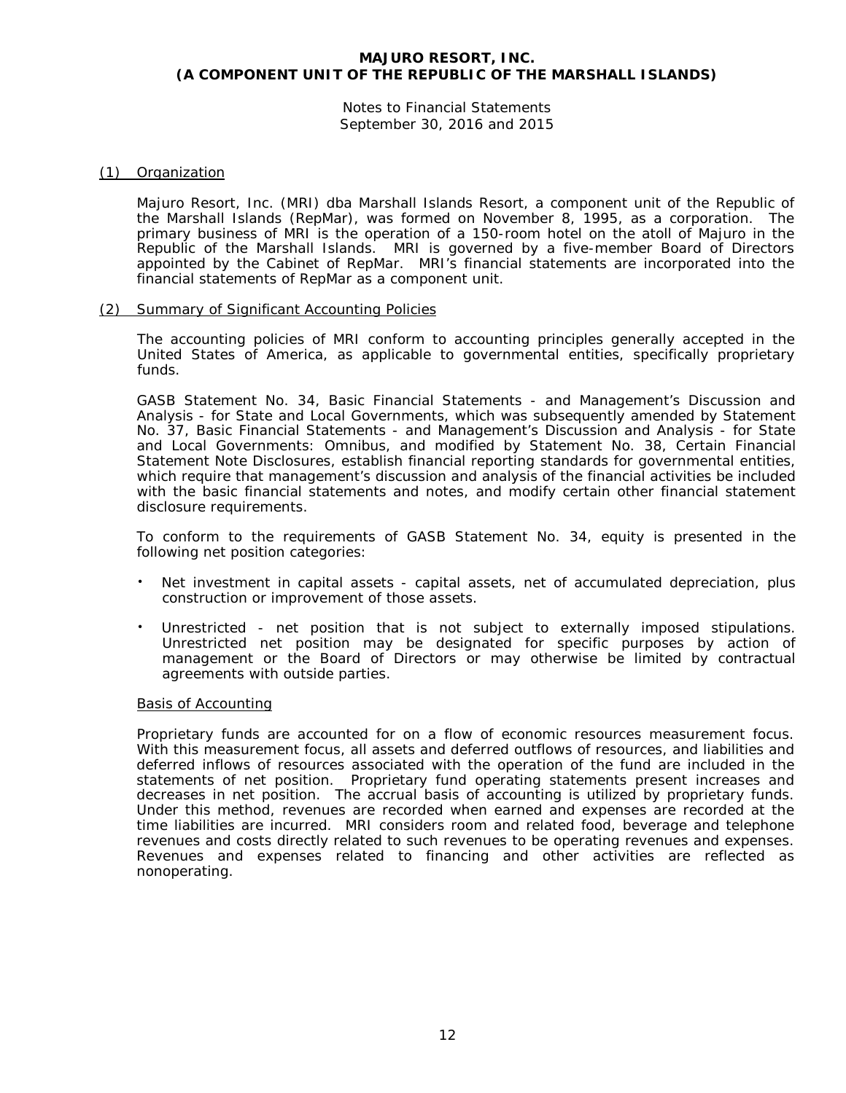Notes to Financial Statements September 30, 2016 and 2015

#### (1) Organization

Majuro Resort, Inc. (MRI) dba Marshall Islands Resort, a component unit of the Republic of the Marshall Islands (RepMar), was formed on November 8, 1995, as a corporation. The primary business of MRI is the operation of a 150-room hotel on the atoll of Majuro in the Republic of the Marshall Islands. MRI is governed by a five-member Board of Directors appointed by the Cabinet of RepMar. MRI's financial statements are incorporated into the financial statements of RepMar as a component unit.

#### (2) Summary of Significant Accounting Policies

The accounting policies of MRI conform to accounting principles generally accepted in the United States of America, as applicable to governmental entities, specifically proprietary funds.

GASB Statement No. 34, *Basic Financial Statements - and Management's Discussion and Analysis - for State and Local Governments*, which was subsequently amended by Statement No. 37, *Basic Financial Statements - and Management's Discussion and Analysis - for State and Local Governments: Omnibus*, and modified by Statement No. 38, *Certain Financial Statement Note Disclosures,* establish financial reporting standards for governmental entities, which require that management's discussion and analysis of the financial activities be included with the basic financial statements and notes, and modify certain other financial statement disclosure requirements.

To conform to the requirements of GASB Statement No. 34, equity is presented in the following net position categories:

- Net investment in capital assets capital assets, net of accumulated depreciation, plus construction or improvement of those assets.
- Unrestricted net position that is not subject to externally imposed stipulations. Unrestricted net position may be designated for specific purposes by action of management or the Board of Directors or may otherwise be limited by contractual agreements with outside parties.

#### Basis of Accounting

Proprietary funds are accounted for on a flow of economic resources measurement focus. With this measurement focus, all assets and deferred outflows of resources, and liabilities and deferred inflows of resources associated with the operation of the fund are included in the statements of net position. Proprietary fund operating statements present increases and decreases in net position. The accrual basis of accounting is utilized by proprietary funds. Under this method, revenues are recorded when earned and expenses are recorded at the time liabilities are incurred. MRI considers room and related food, beverage and telephone revenues and costs directly related to such revenues to be operating revenues and expenses. Revenues and expenses related to financing and other activities are reflected as nonoperating.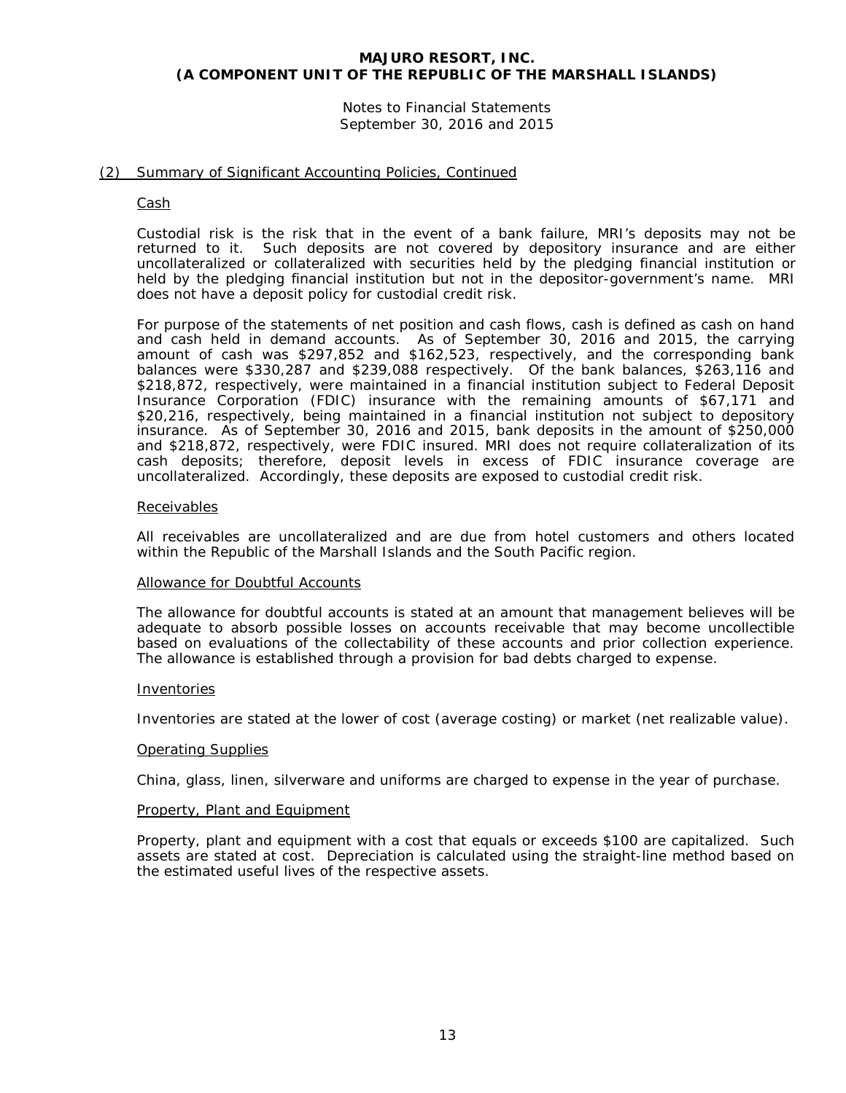Notes to Financial Statements September 30, 2016 and 2015

# (2) Summary of Significant Accounting Policies, Continued

#### Cash

Custodial risk is the risk that in the event of a bank failure, MRI's deposits may not be returned to it. Such deposits are not covered by depository insurance and are either uncollateralized or collateralized with securities held by the pledging financial institution or held by the pledging financial institution but not in the depositor-government's name. MRI does not have a deposit policy for custodial credit risk.

For purpose of the statements of net position and cash flows, cash is defined as cash on hand and cash held in demand accounts. As of September 30, 2016 and 2015, the carrying amount of cash was \$297,852 and \$162,523, respectively, and the corresponding bank balances were \$330,287 and \$239,088 respectively. Of the bank balances, \$263,116 and \$218,872, respectively, were maintained in a financial institution subject to Federal Deposit Insurance Corporation (FDIC) insurance with the remaining amounts of \$67,171 and \$20,216, respectively, being maintained in a financial institution not subject to depository insurance. As of September 30, 2016 and 2015, bank deposits in the amount of \$250,000 and \$218,872, respectively, were FDIC insured. MRI does not require collateralization of its cash deposits; therefore, deposit levels in excess of FDIC insurance coverage are uncollateralized. Accordingly, these deposits are exposed to custodial credit risk.

#### Receivables

All receivables are uncollateralized and are due from hotel customers and others located within the Republic of the Marshall Islands and the South Pacific region.

#### Allowance for Doubtful Accounts

The allowance for doubtful accounts is stated at an amount that management believes will be adequate to absorb possible losses on accounts receivable that may become uncollectible based on evaluations of the collectability of these accounts and prior collection experience. The allowance is established through a provision for bad debts charged to expense.

#### Inventories

Inventories are stated at the lower of cost (average costing) or market (net realizable value).

#### Operating Supplies

China, glass, linen, silverware and uniforms are charged to expense in the year of purchase.

#### Property, Plant and Equipment

Property, plant and equipment with a cost that equals or exceeds \$100 are capitalized. Such assets are stated at cost. Depreciation is calculated using the straight-line method based on the estimated useful lives of the respective assets.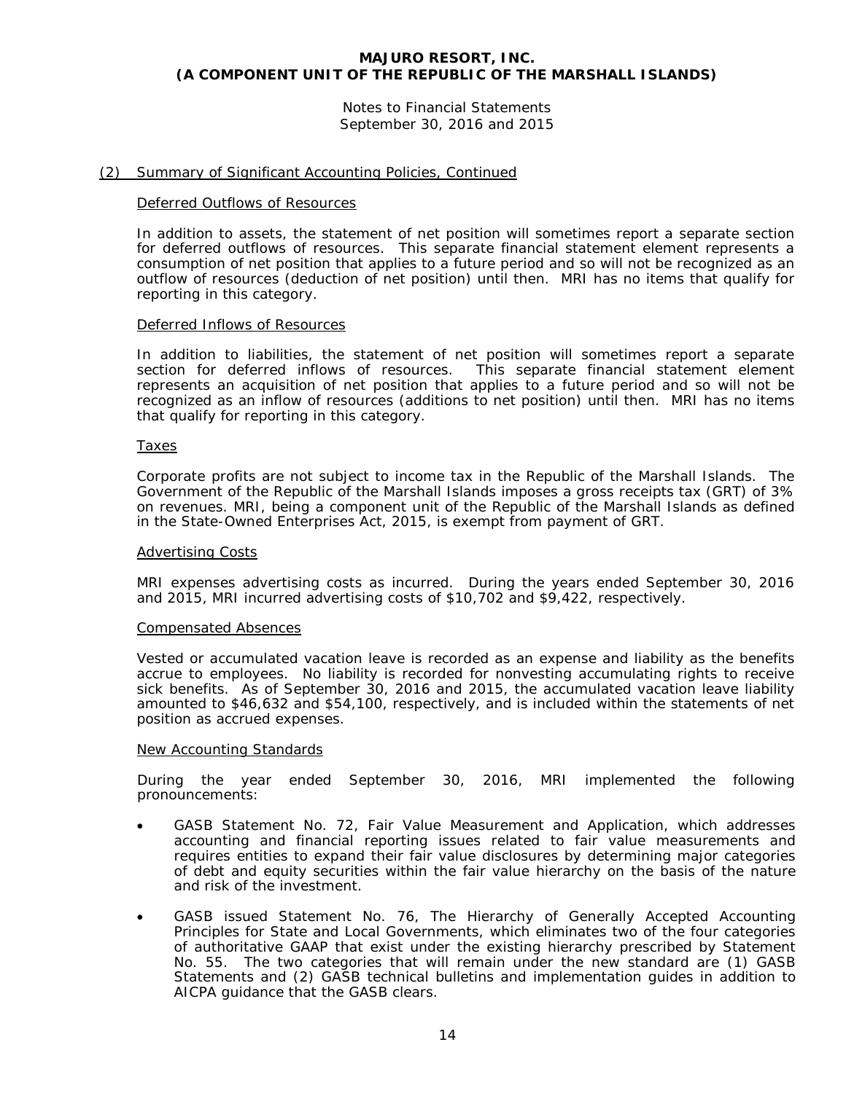Notes to Financial Statements September 30, 2016 and 2015

#### (2) Summary of Significant Accounting Policies, Continued

#### Deferred Outflows of Resources

In addition to assets, the statement of net position will sometimes report a separate section for deferred outflows of resources. This separate financial statement element represents a consumption of net position that applies to a future period and so will not be recognized as an outflow of resources (deduction of net position) until then. MRI has no items that qualify for reporting in this category.

#### Deferred Inflows of Resources

In addition to liabilities, the statement of net position will sometimes report a separate section for deferred inflows of resources. This separate financial statement element represents an acquisition of net position that applies to a future period and so will not be recognized as an inflow of resources (additions to net position) until then. MRI has no items that qualify for reporting in this category.

#### **Taxes**

Corporate profits are not subject to income tax in the Republic of the Marshall Islands. The Government of the Republic of the Marshall Islands imposes a gross receipts tax (GRT) of 3% on revenues. MRI, being a component unit of the Republic of the Marshall Islands as defined in the State-Owned Enterprises Act, 2015, is exempt from payment of GRT.

#### Advertising Costs

MRI expenses advertising costs as incurred. During the years ended September 30, 2016 and 2015, MRI incurred advertising costs of \$10,702 and \$9,422, respectively.

#### Compensated Absences

Vested or accumulated vacation leave is recorded as an expense and liability as the benefits accrue to employees. No liability is recorded for nonvesting accumulating rights to receive sick benefits. As of September 30, 2016 and 2015, the accumulated vacation leave liability amounted to \$46,632 and \$54,100, respectively, and is included within the statements of net position as accrued expenses.

# New Accounting Standards

During the year ended September 30, 2016, MRI implemented the following pronouncements:

- GASB Statement No. 72, *Fair Value Measurement and Application,* which addresses accounting and financial reporting issues related to fair value measurements and requires entities to expand their fair value disclosures by determining major categories of debt and equity securities within the fair value hierarchy on the basis of the nature and risk of the investment.
- GASB issued Statement No. 76, *The Hierarchy of Generally Accepted Accounting Principles for State and Local Governments*, which eliminates two of the four categories of authoritative GAAP that exist under the existing hierarchy prescribed by Statement No. 55. The two categories that will remain under the new standard are (1) GASB Statements and (2) GASB technical bulletins and implementation guides in addition to AICPA guidance that the GASB clears.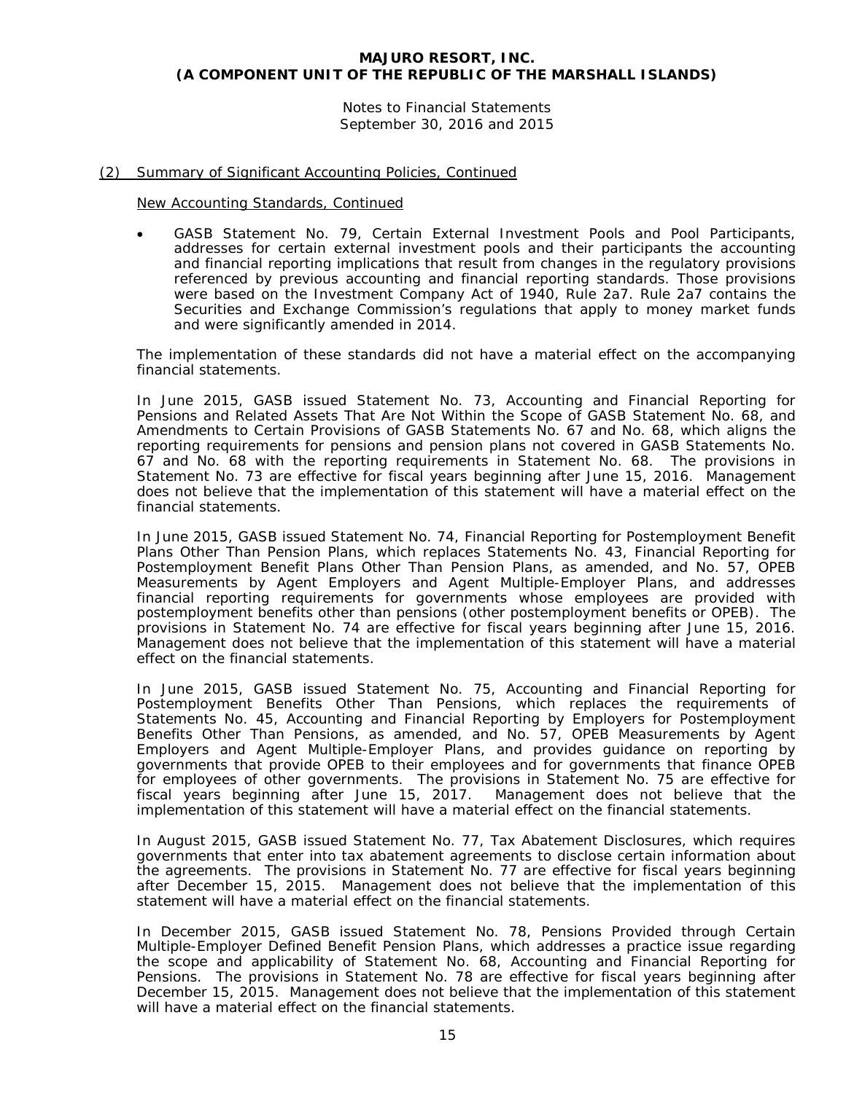Notes to Financial Statements September 30, 2016 and 2015

# (2) Summary of Significant Accounting Policies, Continued

#### New Accounting Standards, Continued

• GASB Statement No. 79, *Certain External Investment Pools and Pool Participants,*  addresses for certain external investment pools and their participants the accounting and financial reporting implications that result from changes in the regulatory provisions referenced by previous accounting and financial reporting standards. Those provisions were based on the Investment Company Act of 1940, Rule 2a7. Rule 2a7 contains the Securities and Exchange Commission's regulations that apply to money market funds and were significantly amended in 2014.

The implementation of these standards did not have a material effect on the accompanying financial statements.

In June 2015, GASB issued Statement No. 73, Accounting and Financial Reporting for Pensions and Related Assets That Are Not Within the Scope of GASB Statement No. 68, and Amendments to Certain Provisions of GASB Statements No. 67 and No. 68, which aligns the reporting requirements for pensions and pension plans not covered in GASB Statements No. 67 and No. 68 with the reporting requirements in Statement No. 68. The provisions in Statement No. 73 are effective for fiscal years beginning after June 15, 2016. Management does not believe that the implementation of this statement will have a material effect on the financial statements.

In June 2015, GASB issued Statement No. 74, *Financial Reporting for Postemployment Benefit Plans Other Than Pension Plans*, which replaces Statements No. 43, *Financial Reporting for Postemployment Benefit Plans Other Than Pension Plans*, as amended, and No. 57, *OPEB Measurements by Agent Employers and Agent Multiple-Employer Plans*, and addresses financial reporting requirements for governments whose employees are provided with postemployment benefits other than pensions (other postemployment benefits or OPEB). The provisions in Statement No. 74 are effective for fiscal years beginning after June 15, 2016. Management does not believe that the implementation of this statement will have a material effect on the financial statements.

In June 2015, GASB issued Statement No. 75, *Accounting and Financial Reporting for Postemployment Benefits Other Than Pensions*, which replaces the requirements of Statements No. 45, *Accounting and Financial Reporting by Employers for Postemployment Benefits Other Than Pensions*, as amended, and No. 57, *OPEB Measurements by Agent Employers and Agent Multiple-Employer Plans*, and provides guidance on reporting by governments that provide OPEB to their employees and for governments that finance OPEB for employees of other governments. The provisions in Statement No. 75 are effective for fiscal years beginning after June 15, 2017. Management does not believe that the implementation of this statement will have a material effect on the financial statements.

In August 2015, GASB issued Statement No. 77, *Tax Abatement Disclosures*, which requires governments that enter into tax abatement agreements to disclose certain information about the agreements. The provisions in Statement No. 77 are effective for fiscal years beginning after December 15, 2015. Management does not believe that the implementation of this statement will have a material effect on the financial statements.

In December 2015, GASB issued Statement No. 78, *Pensions Provided through Certain Multiple-Employer Defined Benefit Pension Plans*, which addresses a practice issue regarding the scope and applicability of Statement No. 68, *Accounting and Financial Reporting for Pensions*. The provisions in Statement No. 78 are effective for fiscal years beginning after December 15, 2015. Management does not believe that the implementation of this statement will have a material effect on the financial statements.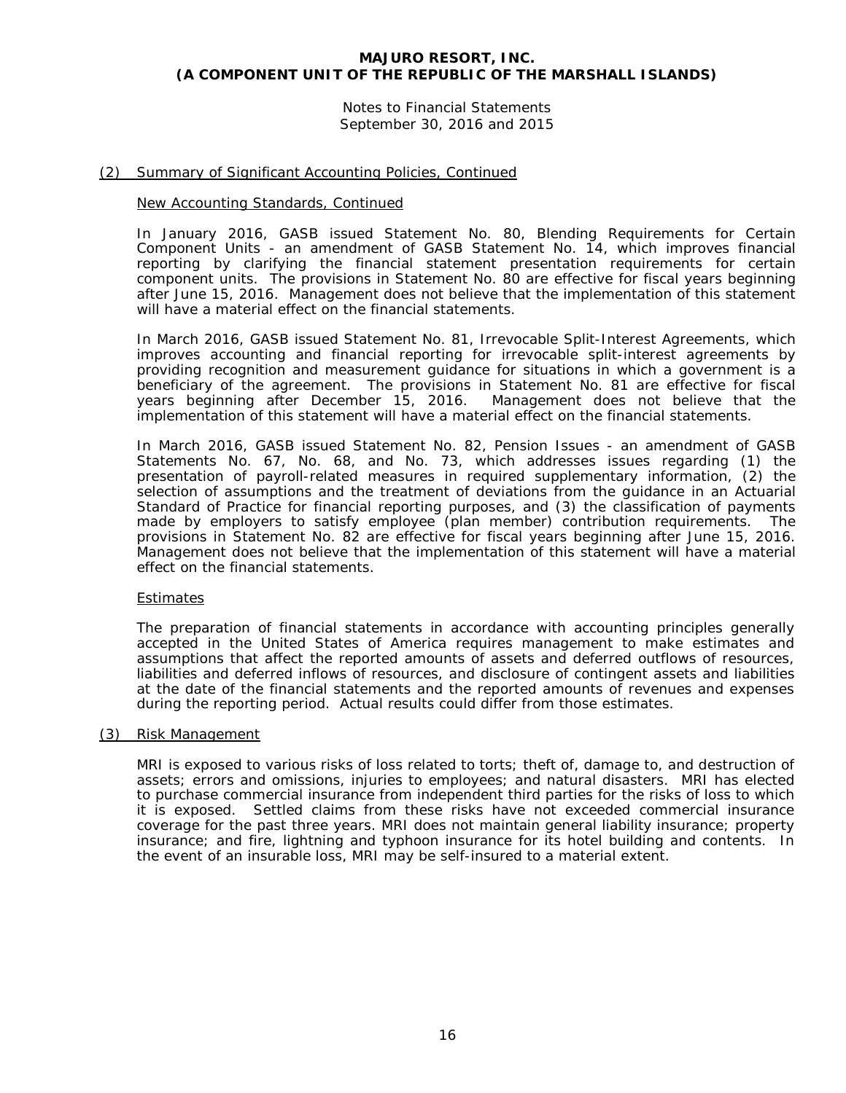Notes to Financial Statements September 30, 2016 and 2015

# (2) Summary of Significant Accounting Policies, Continued

#### New Accounting Standards, Continued

In January 2016, GASB issued Statement No. 80, *Blending Requirements for Certain Component Units - an amendment of GASB Statement No. 14*, which improves financial reporting by clarifying the financial statement presentation requirements for certain component units. The provisions in Statement No. 80 are effective for fiscal years beginning after June 15, 2016. Management does not believe that the implementation of this statement will have a material effect on the financial statements.

In March 2016, GASB issued Statement No. 81, *Irrevocable Split-Interest Agreements*, which improves accounting and financial reporting for irrevocable split-interest agreements by providing recognition and measurement guidance for situations in which a government is a beneficiary of the agreement. The provisions in Statement No. 81 are effective for fiscal<br>years beginning after December 15, 2016. Management does not believe that the years beginning after December 15, 2016. implementation of this statement will have a material effect on the financial statements.

In March 2016, GASB issued Statement No. 82, *Pension Issues - an amendment of GASB Statements No. 67, No. 68, and No. 73*, which addresses issues regarding (1) the presentation of payroll-related measures in required supplementary information, (2) the selection of assumptions and the treatment of deviations from the guidance in an Actuarial Standard of Practice for financial reporting purposes, and (3) the classification of payments made by employers to satisfy employee (plan member) contribution requirements. The provisions in Statement No. 82 are effective for fiscal years beginning after June 15, 2016. Management does not believe that the implementation of this statement will have a material effect on the financial statements.

#### Estimates

The preparation of financial statements in accordance with accounting principles generally accepted in the United States of America requires management to make estimates and assumptions that affect the reported amounts of assets and deferred outflows of resources, liabilities and deferred inflows of resources, and disclosure of contingent assets and liabilities at the date of the financial statements and the reported amounts of revenues and expenses during the reporting period. Actual results could differ from those estimates.

#### (3) Risk Management

MRI is exposed to various risks of loss related to torts; theft of, damage to, and destruction of assets; errors and omissions, injuries to employees; and natural disasters. MRI has elected to purchase commercial insurance from independent third parties for the risks of loss to which it is exposed. Settled claims from these risks have not exceeded commercial insurance coverage for the past three years. MRI does not maintain general liability insurance; property insurance; and fire, lightning and typhoon insurance for its hotel building and contents. In the event of an insurable loss, MRI may be self-insured to a material extent.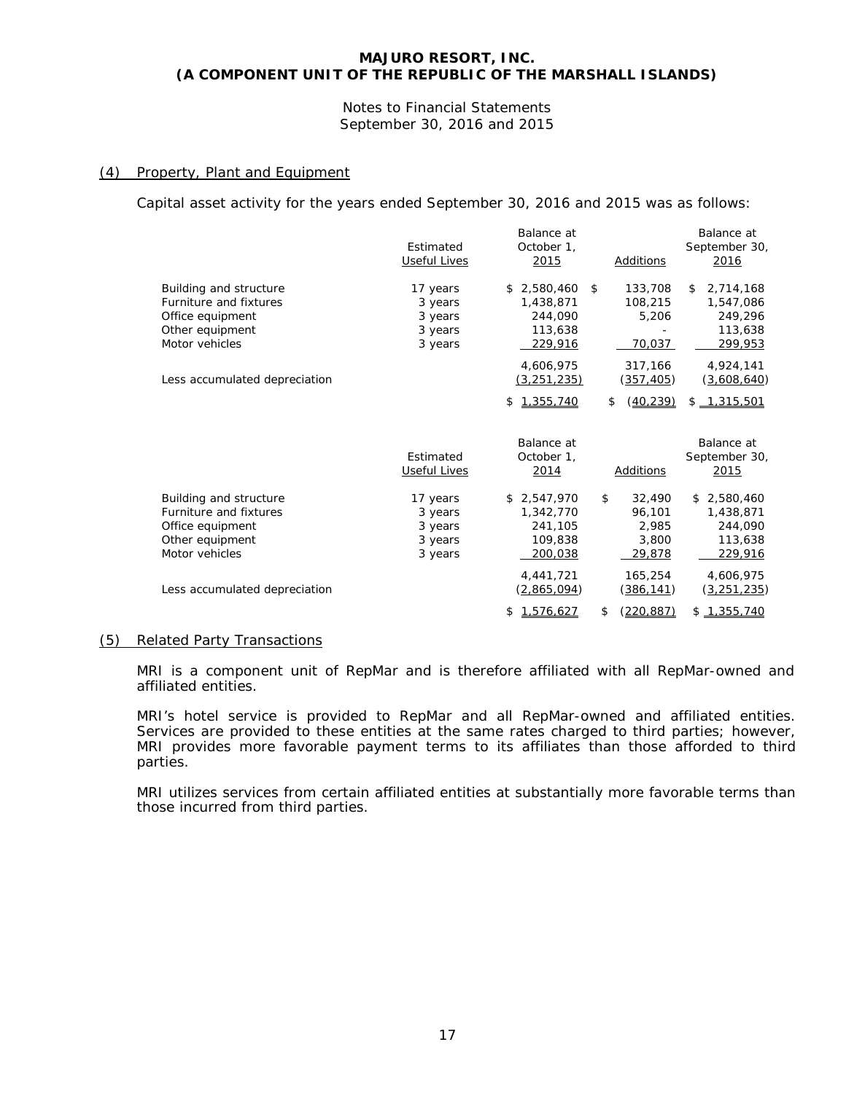# Notes to Financial Statements September 30, 2016 and 2015

# (4) Property, Plant and Equipment

Capital asset activity for the years ended September 30, 2016 and 2015 was as follows:

|                                                                                                                                            | Estimated<br>Useful Lives                            | Balance at<br>October 1,<br>2015                                                                 | Additions                                                                         | Balance at<br>September 30,<br>2016                                                         |
|--------------------------------------------------------------------------------------------------------------------------------------------|------------------------------------------------------|--------------------------------------------------------------------------------------------------|-----------------------------------------------------------------------------------|---------------------------------------------------------------------------------------------|
| Building and structure<br>Furniture and fixtures<br>Office equipment<br>Other equipment<br>Motor vehicles                                  | 17 years<br>3 years<br>3 years<br>3 years<br>3 years | 2,580,460<br>\$<br>1,438,871<br>244,090<br>113,638<br>229,916<br>4,606,975                       | \$<br>133,708<br>108,215<br>5,206<br>70,037<br>317,166                            | \$<br>2,714,168<br>1,547,086<br>249,296<br>113,638<br>299,953<br>4,924,141                  |
| Less accumulated depreciation                                                                                                              |                                                      | <u>(3,251,235)</u><br>1,355,740<br>\$                                                            | \$<br><u>(357,405)</u><br>(40, 239)                                               | <u>(3,608,640)</u><br>$$ -1,315,501$                                                        |
|                                                                                                                                            | Estimated<br><b>Useful Lives</b>                     | Balance at<br>October 1,<br>2014                                                                 | Additions                                                                         | Balance at<br>September 30,<br>2015                                                         |
| Building and structure<br>Furniture and fixtures<br>Office equipment<br>Other equipment<br>Motor vehicles<br>Less accumulated depreciation | 17 years<br>3 years<br>3 years<br>3 years<br>3 years | 2,547,970<br>\$<br>1,342,770<br>241,105<br>109,838<br>200,038<br>4,441,721<br><u>(2,865,094)</u> | \$<br>32,490<br>96,101<br>2,985<br>3,800<br>29,878<br>165,254<br><u>(386,141)</u> | 2,580,460<br>\$<br>1,438,871<br>244,090<br>113,638<br>229,916<br>4,606,975<br>(3, 251, 235) |
|                                                                                                                                            |                                                      | <u>1,576,627</u><br>\$                                                                           | \$<br>(220,887)                                                                   | \$1,355,740                                                                                 |

# (5) Related Party Transactions

MRI is a component unit of RepMar and is therefore affiliated with all RepMar-owned and affiliated entities.

MRI's hotel service is provided to RepMar and all RepMar-owned and affiliated entities. Services are provided to these entities at the same rates charged to third parties; however, MRI provides more favorable payment terms to its affiliates than those afforded to third parties.

MRI utilizes services from certain affiliated entities at substantially more favorable terms than those incurred from third parties.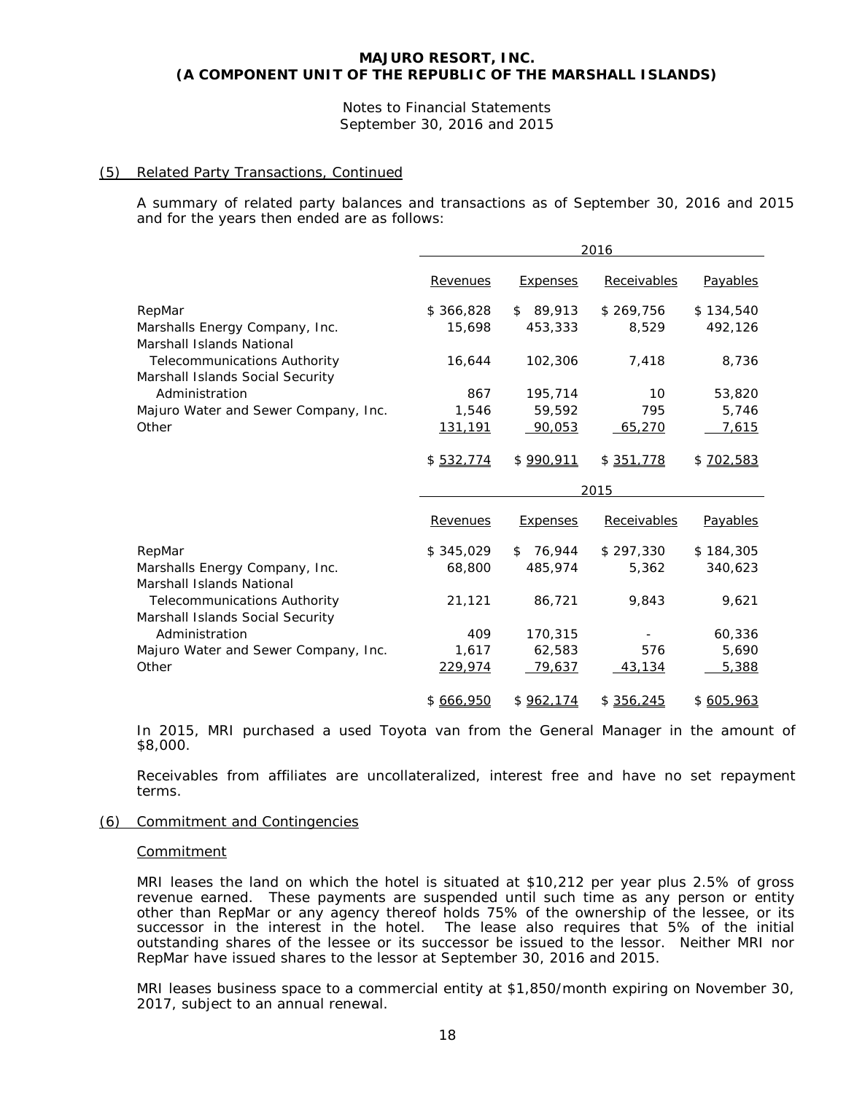# Notes to Financial Statements September 30, 2016 and 2015

# (5) Related Party Transactions, Continued

A summary of related party balances and transactions as of September 30, 2016 and 2015 and for the years then ended are as follows:

|                                                                         |           |                 | 2016        |                 |
|-------------------------------------------------------------------------|-----------|-----------------|-------------|-----------------|
|                                                                         | Revenues  | <b>Expenses</b> | Receivables | <b>Payables</b> |
| RepMar                                                                  | \$366,828 | 89,913<br>\$    | \$269,756   | \$134,540       |
| Marshalls Energy Company, Inc.<br>Marshall Islands National             | 15,698    | 453,333         | 8,529       | 492,126         |
| <b>Telecommunications Authority</b><br>Marshall Islands Social Security | 16,644    | 102,306         | 7,418       | 8,736           |
| Administration                                                          | 867       | 195,714         | 10          | 53,820          |
| Majuro Water and Sewer Company, Inc.                                    | 1,546     | 59,592          | 795         | 5,746           |
| Other                                                                   | 131,191   | 90,053          | 65,270      | 7,615           |
|                                                                         | \$532,774 | \$990,911       | \$351,778   | \$702,583       |
|                                                                         |           |                 | 2015        |                 |
|                                                                         | Revenues  | Expenses        | Receivables | Payables        |
| RepMar                                                                  | \$345,029 | \$76,944        | \$297,330   | \$184,305       |
| Marshalls Energy Company, Inc.<br>Marshall Islands National             | 68,800    | 485,974         | 5,362       | 340,623         |
| <b>Telecommunications Authority</b><br>Marshall Islands Social Security | 21,121    | 86,721          | 9,843       | 9,621           |
| Administration                                                          | 409       | 170,315         |             | 60,336          |
| Majuro Water and Sewer Company, Inc.                                    | 1,617     | 62,583          | 576         | 5,690           |
| Other                                                                   | 229,974   | 79,637          | 43,134      | 5,388           |
|                                                                         | \$666,950 | \$962,174       | \$356,245   | \$605,963       |

In 2015, MRI purchased a used Toyota van from the General Manager in the amount of \$8,000.

Receivables from affiliates are uncollateralized, interest free and have no set repayment terms.

#### (6) Commitment and Contingencies

#### Commitment

MRI leases the land on which the hotel is situated at \$10,212 per year plus 2.5% of gross revenue earned. These payments are suspended until such time as any person or entity other than RepMar or any agency thereof holds 75% of the ownership of the lessee, or its successor in the interest in the hotel. The lease also requires that 5% of the initial outstanding shares of the lessee or its successor be issued to the lessor. Neither MRI nor RepMar have issued shares to the lessor at September 30, 2016 and 2015.

MRI leases business space to a commercial entity at \$1,850/month expiring on November 30, 2017, subject to an annual renewal.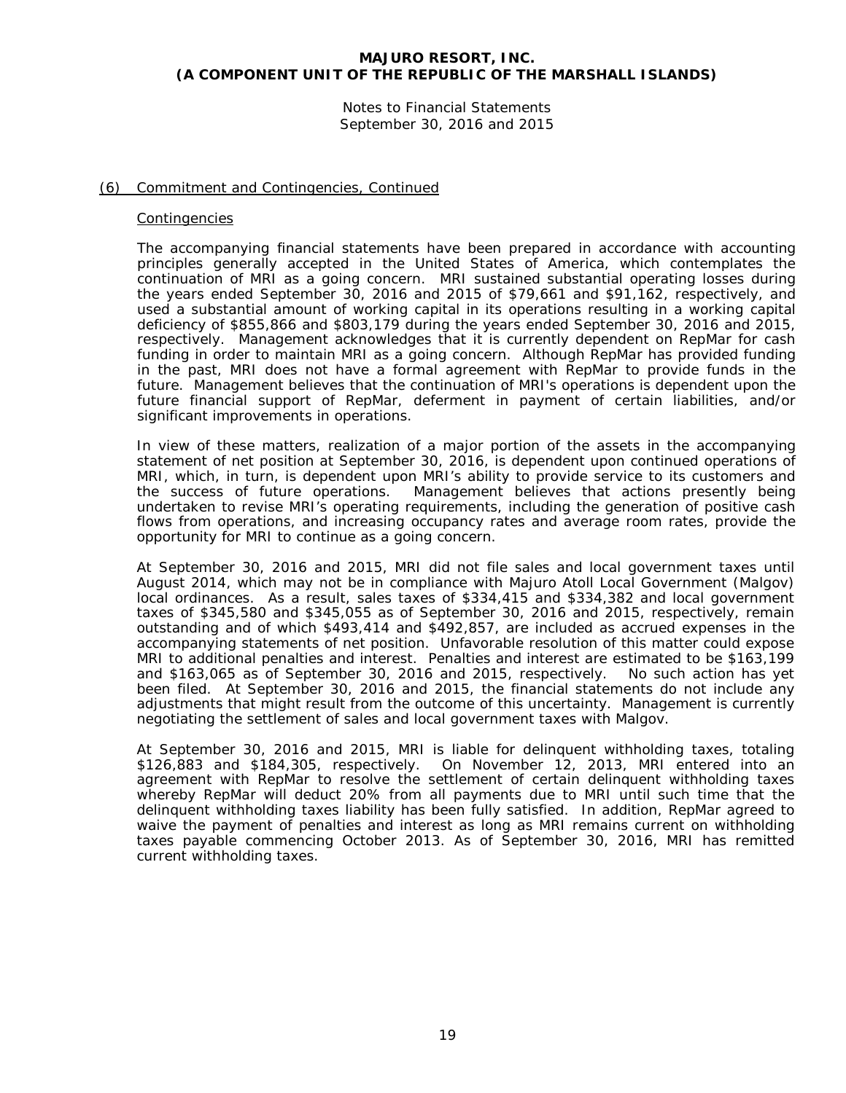Notes to Financial Statements September 30, 2016 and 2015

# (6) Commitment and Contingencies, Continued

#### **Contingencies**

The accompanying financial statements have been prepared in accordance with accounting principles generally accepted in the United States of America, which contemplates the continuation of MRI as a going concern. MRI sustained substantial operating losses during the years ended September 30, 2016 and 2015 of \$79,661 and \$91,162, respectively, and used a substantial amount of working capital in its operations resulting in a working capital deficiency of \$855,866 and \$803,179 during the years ended September 30, 2016 and 2015, respectively. Management acknowledges that it is currently dependent on RepMar for cash funding in order to maintain MRI as a going concern. Although RepMar has provided funding in the past, MRI does not have a formal agreement with RepMar to provide funds in the future. Management believes that the continuation of MRI's operations is dependent upon the future financial support of RepMar, deferment in payment of certain liabilities, and/or significant improvements in operations.

In view of these matters, realization of a major portion of the assets in the accompanying statement of net position at September 30, 2016, is dependent upon continued operations of MRI, which, in turn, is dependent upon MRI's ability to provide service to its customers and the success of future operations. Management believes that actions presently being undertaken to revise MRI's operating requirements, including the generation of positive cash flows from operations, and increasing occupancy rates and average room rates, provide the opportunity for MRI to continue as a going concern.

At September 30, 2016 and 2015, MRI did not file sales and local government taxes until August 2014, which may not be in compliance with Majuro Atoll Local Government (Malgov) local ordinances. As a result, sales taxes of \$334,415 and \$334,382 and local government taxes of \$345,580 and \$345,055 as of September 30, 2016 and 2015, respectively, remain outstanding and of which \$493,414 and \$492,857, are included as accrued expenses in the accompanying statements of net position. Unfavorable resolution of this matter could expose MRI to additional penalties and interest. Penalties and interest are estimated to be \$163,199 and \$163,065 as of September 30, 2016 and 2015, respectively. No such action has yet been filed. At September 30, 2016 and 2015, the financial statements do not include any adjustments that might result from the outcome of this uncertainty. Management is currently negotiating the settlement of sales and local government taxes with Malgov.

At September 30, 2016 and 2015, MRI is liable for delinquent withholding taxes, totaling \$126,883 and \$184,305, respectively. On November 12, 2013, MRI entered into an agreement with RepMar to resolve the settlement of certain delinquent withholding taxes whereby RepMar will deduct 20% from all payments due to MRI until such time that the delinquent withholding taxes liability has been fully satisfied. In addition, RepMar agreed to waive the payment of penalties and interest as long as MRI remains current on withholding taxes payable commencing October 2013. As of September 30, 2016, MRI has remitted current withholding taxes.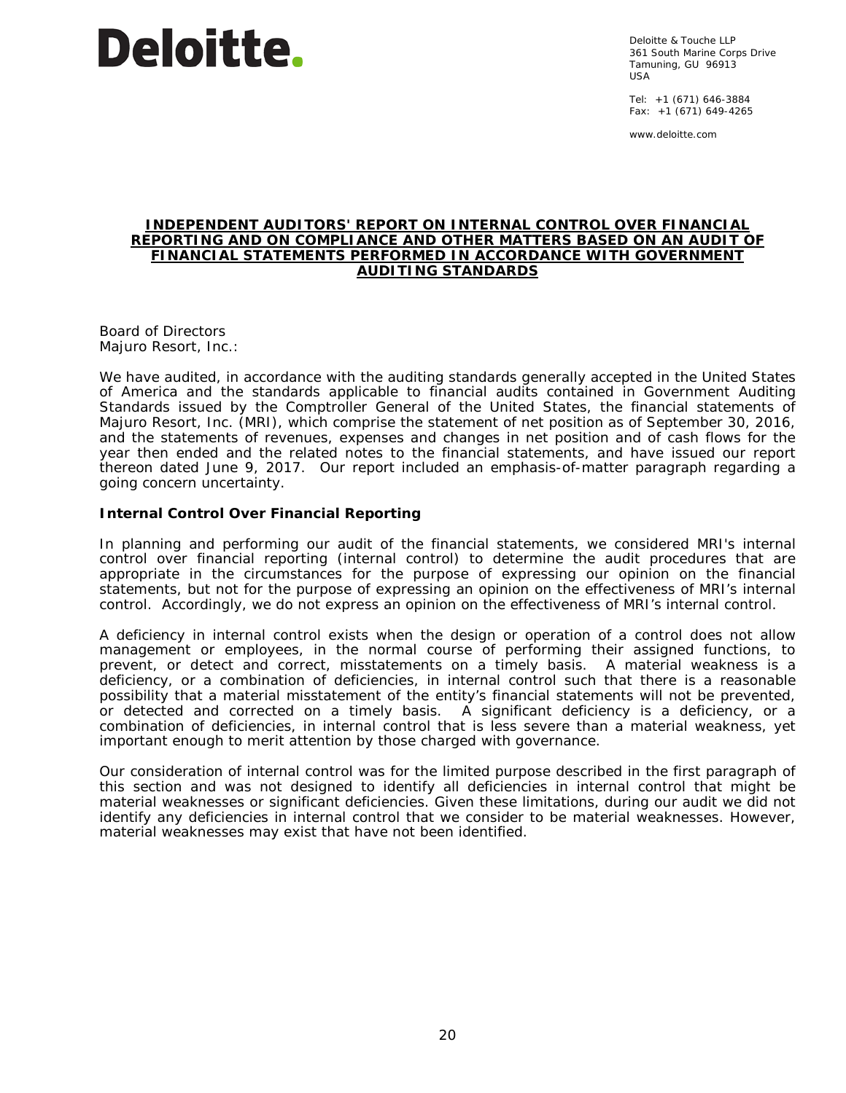

Deloitte & Touche LLP 361 South Marine Corps Drive Tamuning, GU 96913 USA

Tel: +1 (671) 646-3884 Fax: +1 (671) 649-4265

www.deloitte.com

#### **INDEPENDENT AUDITORS' REPORT ON INTERNAL CONTROL OVER FINANCIAL REPORTING AND ON COMPLIANCE AND OTHER MATTERS BASED ON AN AUDIT OF FINANCIAL STATEMENTS PERFORMED IN ACCORDANCE WITH** *GOVERNMENT AUDITING STANDARDS*

Board of Directors Majuro Resort, Inc.:

We have audited, in accordance with the auditing standards generally accepted in the United States of America and the standards applicable to financial audits contained in *Government Auditing Standards* issued by the Comptroller General of the United States, the financial statements of Majuro Resort, Inc. (MRI), which comprise the statement of net position as of September 30, 2016, and the statements of revenues, expenses and changes in net position and of cash flows for the year then ended and the related notes to the financial statements, and have issued our report thereon dated June 9, 2017. Our report included an emphasis-of-matter paragraph regarding a going concern uncertainty.

# **Internal Control Over Financial Reporting**

In planning and performing our audit of the financial statements, we considered MRI's internal control over financial reporting (internal control) to determine the audit procedures that are appropriate in the circumstances for the purpose of expressing our opinion on the financial statements, but not for the purpose of expressing an opinion on the effectiveness of MRI's internal control. Accordingly, we do not express an opinion on the effectiveness of MRI's internal control.

A *deficiency in internal control* exists when the design or operation of a control does not allow management or employees, in the normal course of performing their assigned functions, to prevent, or detect and correct, misstatements on a timely basis. A *material weakness* is a deficiency, or a combination of deficiencies, in internal control such that there is a reasonable possibility that a material misstatement of the entity's financial statements will not be prevented, or detected and corrected on a timely basis. A *significant deficiency* is a deficiency, or a combination of deficiencies, in internal control that is less severe than a material weakness, yet important enough to merit attention by those charged with governance.

Our consideration of internal control was for the limited purpose described in the first paragraph of this section and was not designed to identify all deficiencies in internal control that might be material weaknesses or significant deficiencies. Given these limitations, during our audit we did not identify any deficiencies in internal control that we consider to be material weaknesses. However, material weaknesses may exist that have not been identified.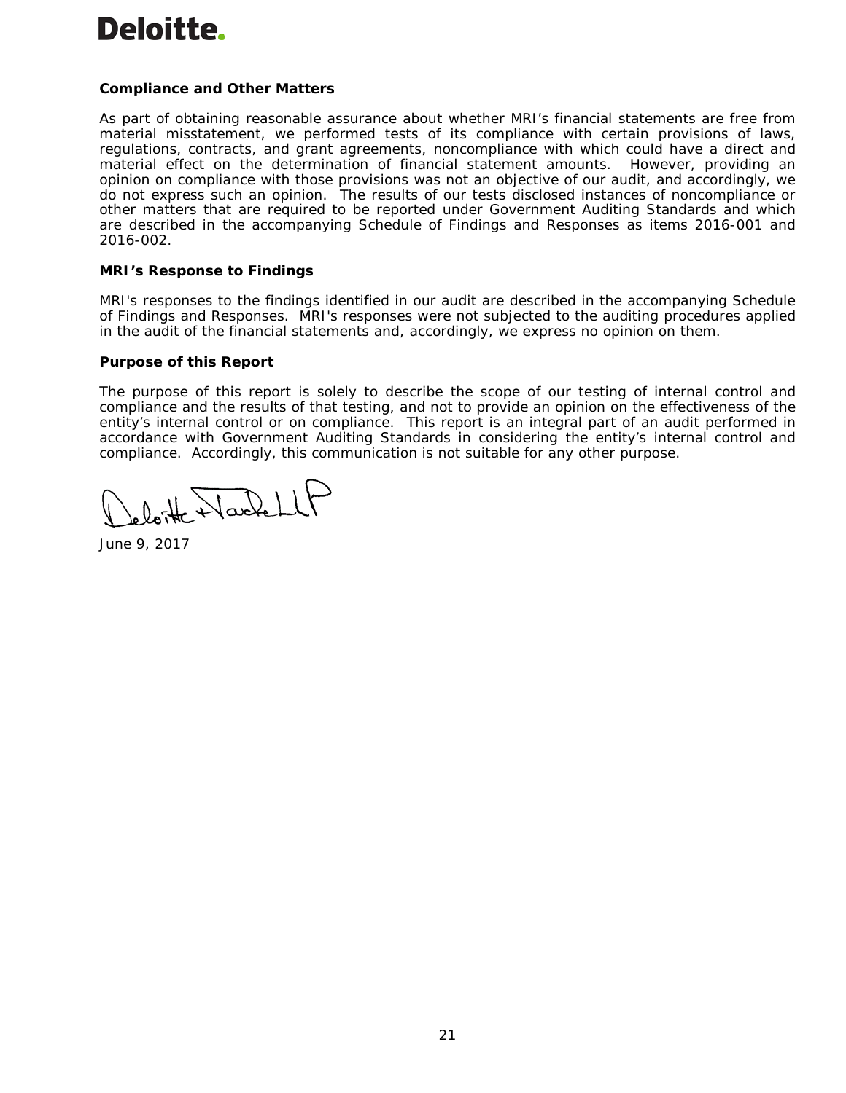# **Deloitte.**

# **Compliance and Other Matters**

As part of obtaining reasonable assurance about whether MRI's financial statements are free from material misstatement, we performed tests of its compliance with certain provisions of laws, regulations, contracts, and grant agreements, noncompliance with which could have a direct and material effect on the determination of financial statement amounts. However, providing an opinion on compliance with those provisions was not an objective of our audit, and accordingly, we do not express such an opinion. The results of our tests disclosed instances of noncompliance or other matters that are required to be reported under *Government Auditing Standards* and which are described in the accompanying Schedule of Findings and Responses as items 2016-001 and 2016-002.

# **MRI's Response to Findings**

MRI's responses to the findings identified in our audit are described in the accompanying Schedule of Findings and Responses. MRI's responses were not subjected to the auditing procedures applied in the audit of the financial statements and, accordingly, we express no opinion on them.

# **Purpose of this Report**

The purpose of this report is solely to describe the scope of our testing of internal control and compliance and the results of that testing, and not to provide an opinion on the effectiveness of the entity's internal control or on compliance. This report is an integral part of an audit performed in accordance with *Government Auditing Standards* in considering the entity's internal control and compliance. Accordingly, this communication is not suitable for any other purpose.

loite Harlett

June 9, 2017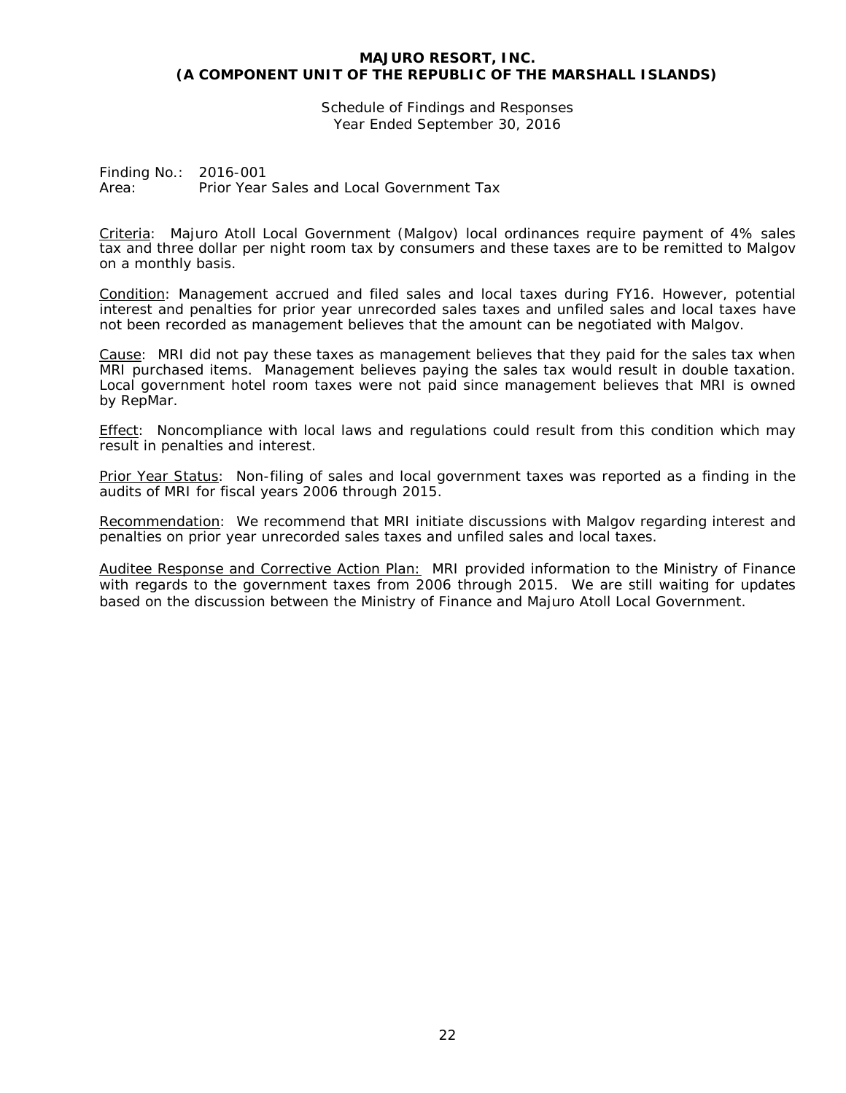Schedule of Findings and Responses Year Ended September 30, 2016

Finding No.: 2016-001 Area: Prior Year Sales and Local Government Tax

Criteria: Majuro Atoll Local Government (Malgov) local ordinances require payment of 4% sales tax and three dollar per night room tax by consumers and these taxes are to be remitted to Malgov on a monthly basis.

Condition: Management accrued and filed sales and local taxes during FY16. However, potential interest and penalties for prior year unrecorded sales taxes and unfiled sales and local taxes have not been recorded as management believes that the amount can be negotiated with Malgov.

Cause: MRI did not pay these taxes as management believes that they paid for the sales tax when MRI purchased items. Management believes paying the sales tax would result in double taxation. Local government hotel room taxes were not paid since management believes that MRI is owned by RepMar.

Effect: Noncompliance with local laws and regulations could result from this condition which may result in penalties and interest.

Prior Year Status: Non-filing of sales and local government taxes was reported as a finding in the audits of MRI for fiscal years 2006 through 2015.

Recommendation: We recommend that MRI initiate discussions with Malgov regarding interest and penalties on prior year unrecorded sales taxes and unfiled sales and local taxes.

Auditee Response and Corrective Action Plan: MRI provided information to the Ministry of Finance with regards to the government taxes from 2006 through 2015. We are still waiting for updates based on the discussion between the Ministry of Finance and Majuro Atoll Local Government.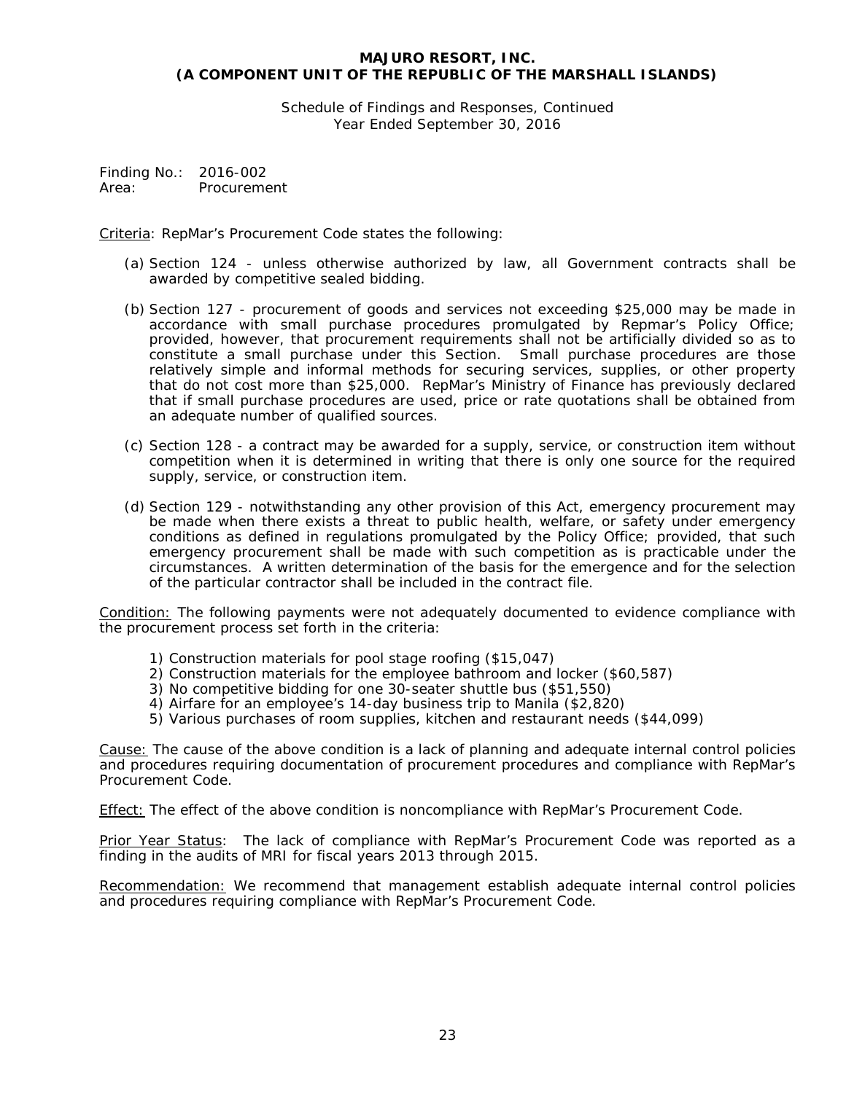Schedule of Findings and Responses, Continued Year Ended September 30, 2016

Finding No.: 2016-002 Area: Procurement

Criteria: RepMar's Procurement Code states the following:

- (a) Section 124 unless otherwise authorized by law, all Government contracts shall be awarded by competitive sealed bidding.
- (b) Section 127 procurement of goods and services not exceeding \$25,000 may be made in accordance with small purchase procedures promulgated by Repmar's Policy Office; provided, however, that procurement requirements shall not be artificially divided so as to constitute a small purchase under this Section. Small purchase procedures are those relatively simple and informal methods for securing services, supplies, or other property that do not cost more than \$25,000. RepMar's Ministry of Finance has previously declared that if small purchase procedures are used, price or rate quotations shall be obtained from an adequate number of qualified sources.
- (c) Section 128 a contract may be awarded for a supply, service, or construction item without competition when it is determined in writing that there is only one source for the required supply, service, or construction item.
- (d) Section 129 notwithstanding any other provision of this Act, emergency procurement may be made when there exists a threat to public health, welfare, or safety under emergency conditions as defined in regulations promulgated by the Policy Office; provided, that such emergency procurement shall be made with such competition as is practicable under the circumstances. A written determination of the basis for the emergence and for the selection of the particular contractor shall be included in the contract file.

Condition: The following payments were not adequately documented to evidence compliance with the procurement process set forth in the criteria:

- 1) Construction materials for pool stage roofing (\$15,047)
- 2) Construction materials for the employee bathroom and locker (\$60,587)
- 3) No competitive bidding for one 30-seater shuttle bus (\$51,550)
- 4) Airfare for an employee's 14-day business trip to Manila (\$2,820)
- 5) Various purchases of room supplies, kitchen and restaurant needs (\$44,099)

Cause: The cause of the above condition is a lack of planning and adequate internal control policies and procedures requiring documentation of procurement procedures and compliance with RepMar's Procurement Code.

Effect: The effect of the above condition is noncompliance with RepMar's Procurement Code.

Prior Year Status: The lack of compliance with RepMar's Procurement Code was reported as a finding in the audits of MRI for fiscal years 2013 through 2015.

Recommendation: We recommend that management establish adequate internal control policies and procedures requiring compliance with RepMar's Procurement Code.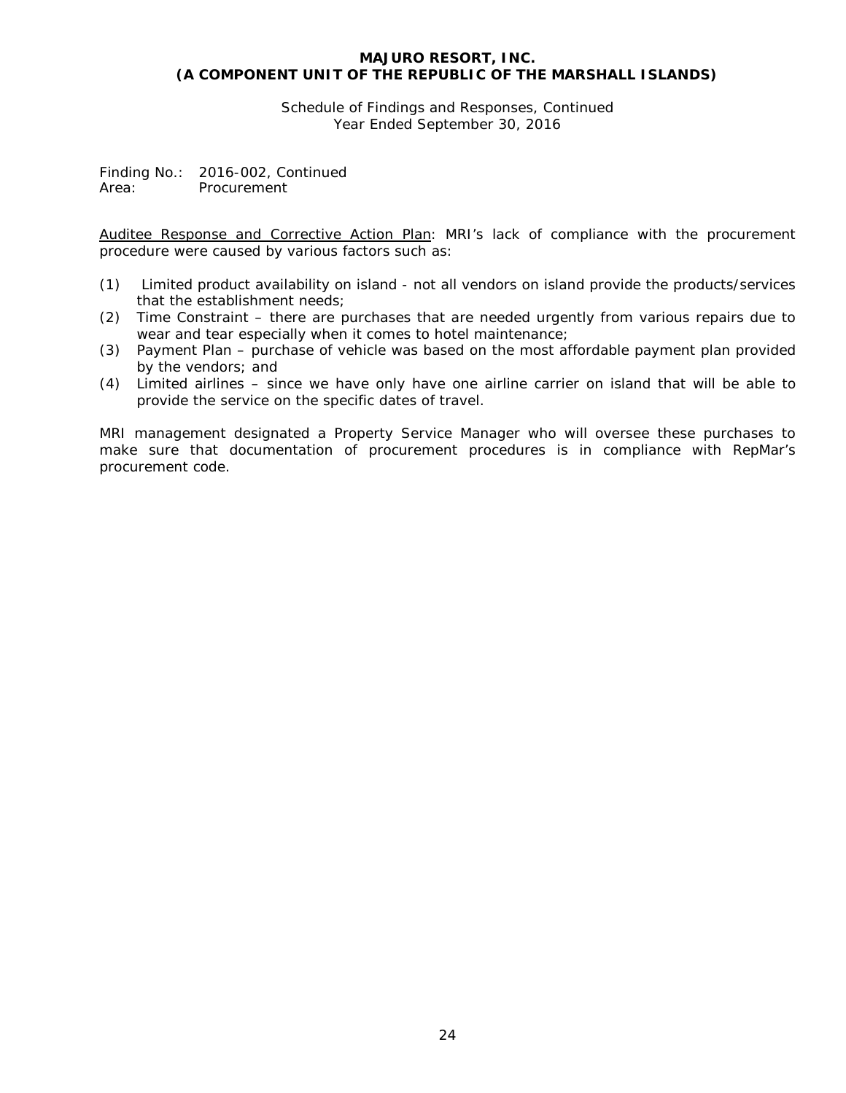Schedule of Findings and Responses, Continued Year Ended September 30, 2016

Finding No.: 2016-002, Continued Area: Procurement

Auditee Response and Corrective Action Plan: MRI's lack of compliance with the procurement procedure were caused by various factors such as:

- (1) Limited product availability on island not all vendors on island provide the products/services that the establishment needs;
- (2) Time Constraint there are purchases that are needed urgently from various repairs due to wear and tear especially when it comes to hotel maintenance;
- (3) Payment Plan purchase of vehicle was based on the most affordable payment plan provided by the vendors; and
- (4) Limited airlines since we have only have one airline carrier on island that will be able to provide the service on the specific dates of travel.

MRI management designated a Property Service Manager who will oversee these purchases to make sure that documentation of procurement procedures is in compliance with RepMar's procurement code.